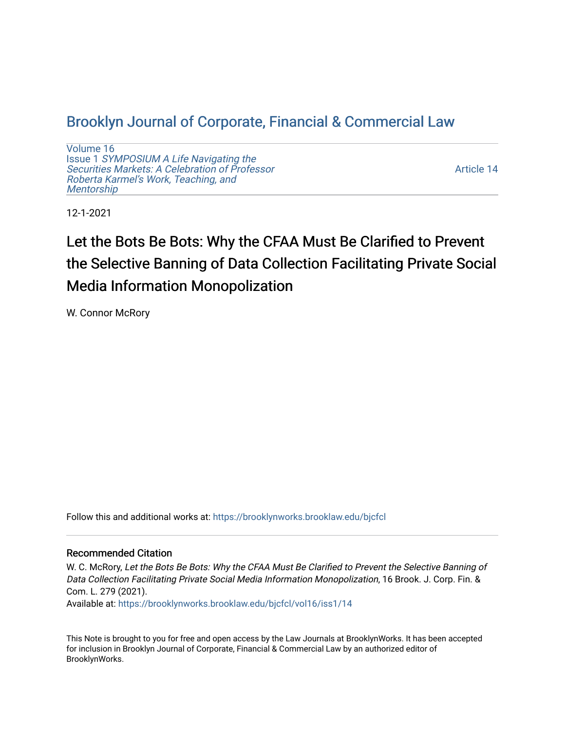# [Brooklyn Journal of Corporate, Financial & Commercial Law](https://brooklynworks.brooklaw.edu/bjcfcl)

[Volume 16](https://brooklynworks.brooklaw.edu/bjcfcl/vol16) Issue 1 [SYMPOSIUM A Life Navigating the](https://brooklynworks.brooklaw.edu/bjcfcl/vol16/iss1) [Securities Markets: A Celebration of Professor](https://brooklynworks.brooklaw.edu/bjcfcl/vol16/iss1) [Roberta Karmel's Work, Teaching, and](https://brooklynworks.brooklaw.edu/bjcfcl/vol16/iss1)  **Mentorship** 

[Article 14](https://brooklynworks.brooklaw.edu/bjcfcl/vol16/iss1/14) 

12-1-2021

# Let the Bots Be Bots: Why the CFAA Must Be Clarified to Prevent the Selective Banning of Data Collection Facilitating Private Social Media Information Monopolization

W. Connor McRory

Follow this and additional works at: [https://brooklynworks.brooklaw.edu/bjcfcl](https://brooklynworks.brooklaw.edu/bjcfcl?utm_source=brooklynworks.brooklaw.edu%2Fbjcfcl%2Fvol16%2Fiss1%2F14&utm_medium=PDF&utm_campaign=PDFCoverPages)

# Recommended Citation

W. C. McRory, Let the Bots Be Bots: Why the CFAA Must Be Clarified to Prevent the Selective Banning of Data Collection Facilitating Private Social Media Information Monopolization, 16 Brook. J. Corp. Fin. & Com. L. 279 (2021).

Available at: [https://brooklynworks.brooklaw.edu/bjcfcl/vol16/iss1/14](https://brooklynworks.brooklaw.edu/bjcfcl/vol16/iss1/14?utm_source=brooklynworks.brooklaw.edu%2Fbjcfcl%2Fvol16%2Fiss1%2F14&utm_medium=PDF&utm_campaign=PDFCoverPages) 

This Note is brought to you for free and open access by the Law Journals at BrooklynWorks. It has been accepted for inclusion in Brooklyn Journal of Corporate, Financial & Commercial Law by an authorized editor of BrooklynWorks.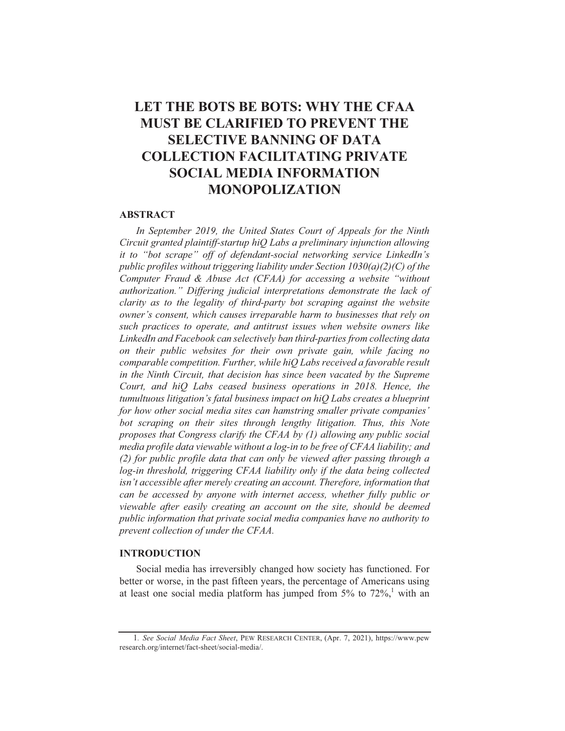# LET THE BOTS BE BOTS: WHY THE CFAA **MUST BE CLARIFIED TO PREVENT THE SELECTIVE BANNING OF DATA COLLECTION FACILITATING PRIVATE SOCIAL MEDIA INFORMATION MONOPOLIZATION**

#### **ABSTRACT**

In September 2019, the United States Court of Appeals for the Ninth Circuit granted plaintiff-startup hiQ Labs a preliminary injunction allowing it to "bot scrape" off of defendant-social networking service LinkedIn's public profiles without triggering liability under Section  $1030(a)(2)(C)$  of the Computer Fraud & Abuse Act (CFAA) for accessing a website "without authorization." Differing judicial interpretations demonstrate the lack of clarity as to the legality of third-party bot scraping against the website owner's consent, which causes irreparable harm to businesses that rely on such practices to operate, and antitrust issues when website owners like LinkedIn and Facebook can selectively ban third-parties from collecting data on their public websites for their own private gain, while facing no comparable competition. Further, while hiQ Labs received a favorable result in the Ninth Circuit, that decision has since been vacated by the Supreme Court, and hiQ Labs ceased business operations in 2018. Hence, the tumultuous litigation's fatal business impact on hiQ Labs creates a blueprint for how other social media sites can hamstring smaller private companies' bot scraping on their sites through lengthy litigation. Thus, this Note proposes that Congress clarify the CFAA by (1) allowing any public social media profile data viewable without a log-in to be free of CFAA liability; and (2) for public profile data that can only be viewed after passing through a log-in threshold, triggering CFAA liability only if the data being collected isn't accessible after merely creating an account. Therefore, information that can be accessed by anyone with internet access, whether fully public or viewable after easily creating an account on the site, should be deemed public information that private social media companies have no authority to prevent collection of under the CFAA.

#### **INTRODUCTION**

Social media has irreversibly changed how society has functioned. For better or worse, in the past fifteen years, the percentage of Americans using at least one social media platform has jumped from  $5\%$  to  $72\%$ , with an

<sup>1.</sup> See Social Media Fact Sheet, PEW RESEARCH CENTER, (Apr. 7, 2021), https://www.pew research.org/internet/fact-sheet/social-media/.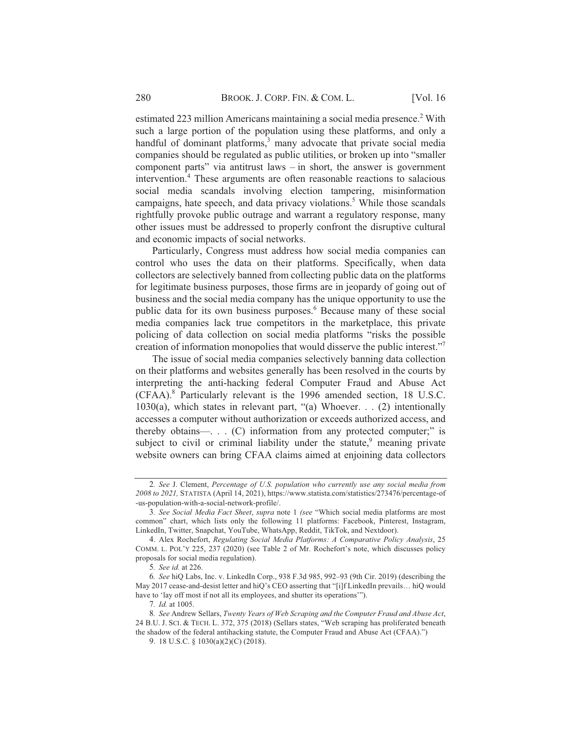estimated 223 million Americans maintaining a social media presence.<sup>2</sup> With such a large portion of the population using these platforms, and only a handful of dominant platforms,<sup>3</sup> many advocate that private social media companies should be regulated as public utilities, or broken up into "smaller" component parts" via antitrust laws  $-$  in short, the answer is government intervention.<sup>4</sup> These arguments are often reasonable reactions to salacious social media scandals involving election tampering, misinformation campaigns, hate speech, and data privacy violations.<sup>5</sup> While those scandals rightfully provoke public outrage and warrant a regulatory response, many other issues must be addressed to properly confront the disruptive cultural and economic impacts of social networks.

Particularly, Congress must address how social media companies can control who uses the data on their platforms. Specifically, when data collectors are selectively banned from collecting public data on the platforms for legitimate business purposes, those firms are in jeopardy of going out of business and the social media company has the unique opportunity to use the public data for its own business purposes.<sup>6</sup> Because many of these social media companies lack true competitors in the marketplace, this private policing of data collection on social media platforms "risks the possible" creation of information monopolies that would disserve the public interest."

The issue of social media companies selectively banning data collection on their platforms and websites generally has been resolved in the courts by interpreting the anti-hacking federal Computer Fraud and Abuse Act (CFAA).<sup>8</sup> Particularly relevant is the 1996 amended section, 18 U.S.C.  $1030(a)$ , which states in relevant part, "(a) Whoever. . . (2) intentionally accesses a computer without authorization or exceeds authorized access, and thereby obtains— $\ldots$  (C) information from any protected computer;" is subject to civil or criminal liability under the statute,<sup>9</sup> meaning private website owners can bring CFAA claims aimed at enjoining data collectors

<sup>2.</sup> See J. Clement, Percentage of U.S. population who currently use any social media from 2008 to 2021, STATISTA (April 14, 2021), https://www.statista.com/statistics/273476/percentage-of -us-population-with-a-social-network-profile/.

<sup>3.</sup> See Social Media Fact Sheet, supra note 1 (see "Which social media platforms are most common" chart, which lists only the following 11 platforms: Facebook, Pinterest, Instagram, LinkedIn, Twitter, Snapchat, YouTube, WhatsApp, Reddit, TikTok, and Nextdoor).

<sup>4.</sup> Alex Rochefort, Regulating Social Media Platforms: A Comparative Policy Analysis, 25 COMM. L. POL'Y 225, 237 (2020) (see Table 2 of Mr. Rochefort's note, which discusses policy proposals for social media regulation).

<sup>5.</sup> See id. at 226.

<sup>6.</sup> See hiQ Labs, Inc. v. LinkedIn Corp., 938 F.3d 985, 992-93 (9th Cir. 2019) (describing the May 2017 cease-and-desist letter and hiQ's CEO asserting that "[i]f LinkedIn prevails... hiQ would have to 'lay off most if not all its employees, and shutter its operations'").

<sup>7.</sup> Id. at 1005.

<sup>8.</sup> See Andrew Sellars, Twenty Years of Web Scraping and the Computer Fraud and Abuse Act, 24 B.U. J. SCI. & TECH. L. 372, 375 (2018) (Sellars states, "Web scraping has proliferated beneath the shadow of the federal antihacking statute, the Computer Fraud and Abuse Act (CFAA).")

<sup>9. 18</sup> U.S.C. § 1030(a)(2)(C) (2018).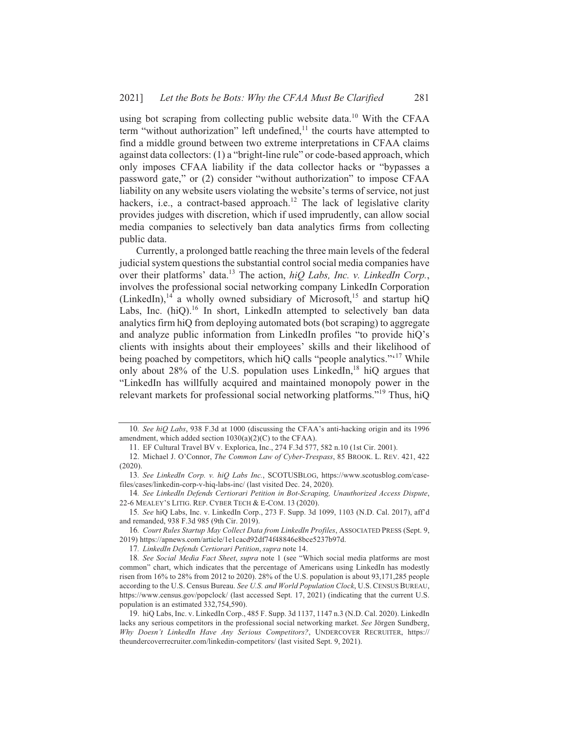using bot scraping from collecting public website data.<sup>10</sup> With the CFAA term "without authorization" left undefined,<sup>11</sup> the courts have attempted to find a middle ground between two extreme interpretations in CFAA claims against data collectors: (1) a "bright-line rule" or code-based approach, which only imposes CFAA liability if the data collector hacks or "bypasses a password gate," or (2) consider "without authorization" to impose CFAA liability on any website users violating the website's terms of service, not just hackers, i.e., a contract-based approach.<sup>12</sup> The lack of legislative clarity provides judges with discretion, which if used imprudently, can allow social media companies to selectively ban data analytics firms from collecting public data.

Currently, a prolonged battle reaching the three main levels of the federal judicial system questions the substantial control social media companies have over their platforms' data.<sup>13</sup> The action, *hiQ Labs, Inc. v. LinkedIn Corp.*, involves the professional social networking company LinkedIn Corporation (LinkedIn),  $14$  a wholly owned subsidiary of Microsoft,  $15$  and startup hiQ Labs, Inc. (hiQ).<sup>16</sup> In short, LinkedIn attempted to selectively ban data analytics firm hiQ from deploying automated bots (bot scraping) to aggregate and analyze public information from LinkedIn profiles "to provide hiQ's clients with insights about their employees' skills and their likelihood of being poached by competitors, which hiQ calls "people analytics."<sup>417</sup> While only about 28% of the U.S. population uses LinkedIn,<sup>18</sup> hiQ argues that "LinkedIn has willfully acquired and maintained monopoly power in the relevant markets for professional social networking platforms."<sup>19</sup> Thus, hiQ

<sup>10.</sup> See hiO Labs, 938 F.3d at 1000 (discussing the CFAA's anti-hacking origin and its 1996) amendment, which added section  $1030(a)(2)(C)$  to the CFAA).

<sup>11.</sup> EF Cultural Travel BV v. Explorica, Inc., 274 F.3d 577, 582 n.10 (1st Cir. 2001).

<sup>12.</sup> Michael J. O'Connor, The Common Law of Cyber-Trespass, 85 BROOK. L. REV. 421, 422  $(2020).$ 

<sup>13.</sup> See LinkedIn Corp. v. hiQ Labs Inc., SCOTUSBLOG, https://www.scotusblog.com/casefiles/cases/linkedin-corp-v-hiq-labs-inc/ (last visited Dec. 24, 2020).

<sup>14.</sup> See LinkedIn Defends Certiorari Petition in Bot-Scraping, Unauthorized Access Dispute, 22-6 MEALEY'S LITIG. REP. CYBER TECH & E-COM. 13 (2020).

<sup>15.</sup> See hiQ Labs, Inc. v. LinkedIn Corp., 273 F. Supp. 3d 1099, 1103 (N.D. Cal. 2017), aff'd and remanded, 938 F.3d 985 (9th Cir. 2019).

<sup>16.</sup> Court Rules Startup May Collect Data from LinkedIn Profiles, ASSOCIATED PRESS (Sept. 9, 2019) https://apnews.com/article/1e1cacd92df74f48846e8bce5237b97d.

<sup>17.</sup> LinkedIn Defends Certiorari Petition, supra note 14.

<sup>18.</sup> See Social Media Fact Sheet, supra note 1 (see "Which social media platforms are most common" chart, which indicates that the percentage of Americans using LinkedIn has modestly risen from 16% to 28% from 2012 to 2020). 28% of the U.S. population is about 93,171,285 people according to the U.S. Census Bureau. See U.S. and World Population Clock, U.S. CENSUS BUREAU, https://www.census.gov/popclock/ (last accessed Sept. 17, 2021) (indicating that the current U.S. population is an estimated 332,754,590).

<sup>19.</sup> hiQ Labs, Inc. v. LinkedIn Corp., 485 F. Supp. 3d 1137, 1147 n.3 (N.D. Cal. 2020). LinkedIn lacks any serious competitors in the professional social networking market. See Jörgen Sundberg, Why Doesn't LinkedIn Have Any Serious Competitors?, UNDERCOVER RECRUITER, https:// theundercoverrecruiter.com/linkedin-competitors/ (last visited Sept. 9, 2021).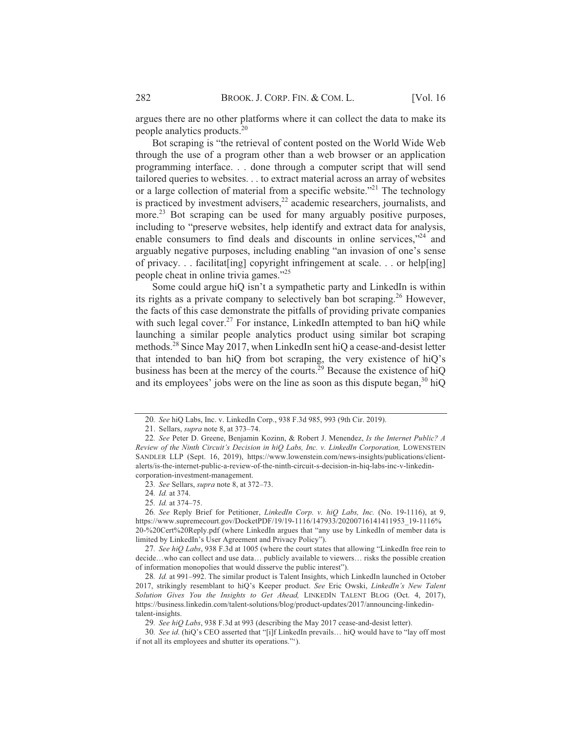argues there are no other platforms where it can collect the data to make its people analytics products.<sup>20</sup>

Bot scraping is "the retrieval of content posted on the World Wide Web through the use of a program other than a web browser or an application programming interface. . . done through a computer script that will send tailored queries to websites... to extract material across an array of websites or a large collection of material from a specific website."<sup>21</sup> The technology is practiced by investment advisers,  $22$  academic researchers, journalists, and more.<sup>23</sup> Bot scraping can be used for many arguably positive purposes, including to "preserve websites, help identify and extract data for analysis, enable consumers to find deals and discounts in online services,"<sup>24</sup> and arguably negative purposes, including enabling "an invasion of one's sense of privacy... facilitat[ing] copyright infringement at scale... or help[ing] people cheat in online trivia games."<sup>25</sup>

Some could argue hiQ isn't a sympathetic party and LinkedIn is within its rights as a private company to selectively ban bot scraping.<sup>26</sup> However, the facts of this case demonstrate the pitfalls of providing private companies with such legal cover.<sup>27</sup> For instance, LinkedIn attempted to ban hiQ while launching a similar people analytics product using similar bot scraping methods.<sup>28</sup> Since May 2017, when LinkedIn sent hiQ a cease-and-desist letter that intended to ban hiQ from bot scraping, the very existence of hiQ's business has been at the mercy of the courts.<sup>29</sup> Because the existence of hiQ and its employees' jobs were on the line as soon as this dispute began,<sup>30</sup> hiQ

23. See Sellars, supra note 8, at 372-73.

25. *Id.* at 374-75.

<sup>20.</sup> See hiQ Labs, Inc. v. LinkedIn Corp., 938 F.3d 985, 993 (9th Cir. 2019).

<sup>21.</sup> Sellars, *supra* note 8, at 373-74.

<sup>22.</sup> See Peter D. Greene, Benjamin Kozinn, & Robert J. Menendez, Is the Internet Public? A Review of the Ninth Circuit's Decision in hiQ Labs, Inc. v. LinkedIn Corporation, LOWENSTEIN SANDLER LLP (Sept. 16, 2019), https://www.lowenstein.com/news-insights/publications/clientalerts/is-the-internet-public-a-review-of-the-ninth-circuit-s-decision-in-hiq-labs-inc-v-linkedincorporation-investment-management.

<sup>24.</sup> Id. at 374.

<sup>26.</sup> See Reply Brief for Petitioner, *LinkedIn Corp. v. hiO Labs, Inc.* (No. 19-1116), at 9, https://www.supremecourt.gov/DocketPDF/19/19-1116/147933/20200716141411953 19-1116% 20-%20Cert%20Reply.pdf (where LinkedIn argues that "any use by LinkedIn of member data is limited by LinkedIn's User Agreement and Privacy Policy").

<sup>27.</sup> See hiQ Labs, 938 F.3d at 1005 (where the court states that allowing "LinkedIn free rein to decide...who can collect and use data... publicly available to viewers... risks the possible creation of information monopolies that would disserve the public interest").

<sup>28.</sup> Id. at 991-992. The similar product is Talent Insights, which LinkedIn launched in October 2017, strikingly resemblant to hiQ's Keeper product. See Eric Owski, LinkedIn's New Talent Solution Gives You the Insights to Get Ahead, LINKEDIN TALENT BLOG (Oct. 4, 2017), https://business.linkedin.com/talent-solutions/blog/product-updates/2017/announcing-linkedintalent-insights.

<sup>29.</sup> See hiQ Labs, 938 F.3d at 993 (describing the May 2017 cease-and-desist letter).

<sup>30.</sup> See id. (hiQ's CEO asserted that "[i]f LinkedIn prevails... hiQ would have to "lay off most if not all its employees and shutter its operations."").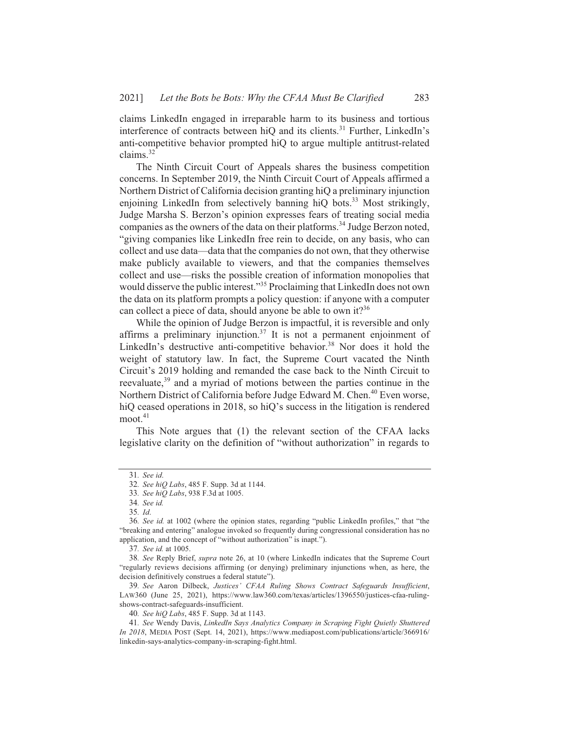claims LinkedIn engaged in irreparable harm to its business and tortious interference of contracts between hiQ and its clients.<sup>31</sup> Further, LinkedIn's anti-competitive behavior prompted hiO to argue multiple antitrust-related claims. $32$ 

The Ninth Circuit Court of Appeals shares the business competition concerns. In September 2019, the Ninth Circuit Court of Appeals affirmed a Northern District of California decision granting hiQ a preliminary injunction enjoining LinkedIn from selectively banning hiQ bots.<sup>33</sup> Most strikingly, Judge Marsha S. Berzon's opinion expresses fears of treating social media companies as the owners of the data on their platforms.<sup>34</sup> Judge Berzon noted, "giving companies like LinkedIn free rein to decide, on any basis, who can collect and use data—data that the companies do not own, that they otherwise make publicly available to viewers, and that the companies themselves collect and use—risks the possible creation of information monopolies that would disserve the public interest."<sup>35</sup> Proclaiming that LinkedIn does not own the data on its platform prompts a policy question: if anyone with a computer can collect a piece of data, should anyone be able to own it?<sup>36</sup>

While the opinion of Judge Berzon is impactful, it is reversible and only affirms a preliminary injunction.<sup>37</sup> It is not a permanent enjoinment of LinkedIn's destructive anti-competitive behavior.<sup>38</sup> Nor does it hold the weight of statutory law. In fact, the Supreme Court vacated the Ninth Circuit's 2019 holding and remanded the case back to the Ninth Circuit to reevaluate,<sup>39</sup> and a myriad of motions between the parties continue in the Northern District of California before Judge Edward M. Chen.<sup>40</sup> Even worse, hiQ ceased operations in 2018, so hiQ's success in the litigation is rendered  $moot.<sup>41</sup>$ 

This Note argues that (1) the relevant section of the CFAA lacks legislative clarity on the definition of "without authorization" in regards to

<sup>31.</sup> See id.

<sup>32.</sup> See hiQ Labs, 485 F. Supp. 3d at 1144.

<sup>33.</sup> See hiQ Labs, 938 F.3d at 1005.

<sup>34.</sup> See id.

<sup>35.</sup> Id.

<sup>36.</sup> See id. at 1002 (where the opinion states, regarding "public LinkedIn profiles," that "the "breaking and entering" analogue invoked so frequently during congressional consideration has no application, and the concept of "without authorization" is inapt.").

<sup>37.</sup> See id. at 1005.

<sup>38.</sup> See Reply Brief, *supra* note 26, at 10 (where LinkedIn indicates that the Supreme Court "regularly reviews decisions affirming (or denying) preliminary injunctions when, as here, the decision definitively construes a federal statute").

<sup>39.</sup> See Aaron Dilbeck, Justices' CFAA Ruling Shows Contract Safeguards Insufficient, LAW360 (June 25, 2021), https://www.law360.com/texas/articles/1396550/justices-cfaa-rulingshows-contract-safeguards-insufficient.

<sup>40.</sup> See hiQ Labs, 485 F. Supp. 3d at 1143.

<sup>41.</sup> See Wendy Davis, LinkedIn Says Analytics Company in Scraping Fight Quietly Shuttered In 2018, MEDIA POST (Sept. 14, 2021), https://www.mediapost.com/publications/article/366916/ linkedin-says-analytics-company-in-scraping-fight.html.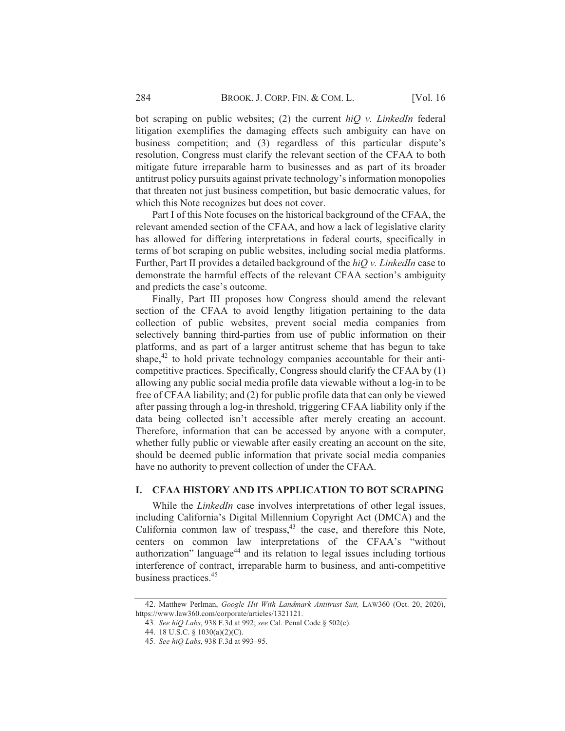bot scraping on public websites; (2) the current  $hiO$  v. LinkedIn federal litigation exemplifies the damaging effects such ambiguity can have on business competition; and (3) regardless of this particular dispute's resolution, Congress must clarify the relevant section of the CFAA to both mitigate future irreparable harm to businesses and as part of its broader antitrust policy pursuits against private technology's information monopolies that threaten not just business competition, but basic democratic values, for which this Note recognizes but does not cover.

Part I of this Note focuses on the historical background of the CFAA, the relevant amended section of the CFAA, and how a lack of legislative clarity has allowed for differing interpretations in federal courts, specifically in terms of bot scraping on public websites, including social media platforms. Further, Part II provides a detailed background of the  $hiQv$ . LinkedIn case to demonstrate the harmful effects of the relevant CFAA section's ambiguity and predicts the case's outcome.

Finally, Part III proposes how Congress should amend the relevant section of the CFAA to avoid lengthy litigation pertaining to the data collection of public websites, prevent social media companies from selectively banning third-parties from use of public information on their platforms, and as part of a larger antitrust scheme that has begun to take shape, $42$  to hold private technology companies accountable for their anticompetitive practices. Specifically, Congress should clarify the CFAA by (1) allowing any public social media profile data viewable without a log-in to be free of CFAA liability; and (2) for public profile data that can only be viewed after passing through a log-in threshold, triggering CFAA liability only if the data being collected isn't accessible after merely creating an account. Therefore, information that can be accessed by anyone with a computer, whether fully public or viewable after easily creating an account on the site, should be deemed public information that private social media companies have no authority to prevent collection of under the CFAA.

#### **I. CFAA HISTORY AND ITS APPLICATION TO BOT SCRAPING**

While the *LinkedIn* case involves interpretations of other legal issues, including California's Digital Millennium Copyright Act (DMCA) and the California common law of trespass, $43$  the case, and therefore this Note, centers on common law interpretations of the CFAA's "without authorization" language<sup>44</sup> and its relation to legal issues including tortious interference of contract, irreparable harm to business, and anti-competitive business practices.<sup>45</sup>

<sup>42.</sup> Matthew Perlman, Google Hit With Landmark Antitrust Suit, LAW360 (Oct. 20, 2020), https://www.law360.com/corporate/articles/1321121.

<sup>43.</sup> See hiQ Labs, 938 F.3d at 992; see Cal. Penal Code § 502(c).

<sup>44. 18</sup> U.S.C. § 1030(a)(2)(C).

<sup>45.</sup> See hiQ Labs, 938 F.3d at 993-95.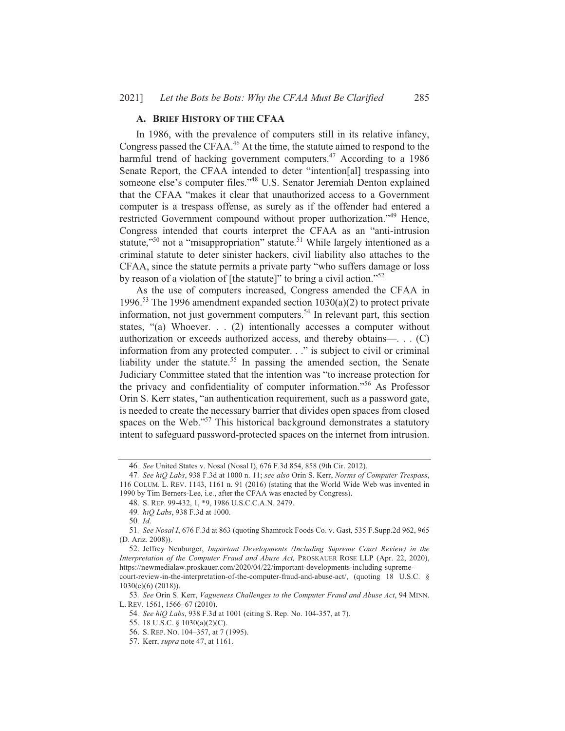#### A. BRIEF HISTORY OF THE CFAA

In 1986, with the prevalence of computers still in its relative infancy, Congress passed the CFAA.<sup>46</sup> At the time, the statute aimed to respond to the harmful trend of hacking government computers.<sup>47</sup> According to a 1986 Senate Report, the CFAA intended to deter "intention[al] trespassing into someone else's computer files."<sup>48</sup> U.S. Senator Jeremiah Denton explained that the CFAA "makes it clear that unauthorized access to a Government computer is a trespass offense, as surely as if the offender had entered a restricted Government compound without proper authorization."<sup>49</sup> Hence, Congress intended that courts interpret the CFAA as an "anti-intrusion" statute,"<sup>50</sup> not a "misappropriation" statute.<sup>51</sup> While largely intentioned as a criminal statute to deter sinister hackers, civil liability also attaches to the CFAA, since the statute permits a private party "who suffers damage or loss by reason of a violation of [the statute]" to bring a civil action."<sup>52</sup>

As the use of computers increased, Congress amended the CFAA in 1996.<sup>53</sup> The 1996 amendment expanded section  $1030(a)(2)$  to protect private information, not just government computers.<sup>54</sup> In relevant part, this section states,  $(2)$  Whoever. . . (2) intentionally accesses a computer without authorization or exceeds authorized access, and thereby obtains—. . . (C) information from any protected computer. . ." is subject to civil or criminal liability under the statute.<sup>55</sup> In passing the amended section, the Senate Judiciary Committee stated that the intention was "to increase protection for the privacy and confidentiality of computer information."<sup>56</sup> As Professor Orin S. Kerr states, "an authentication requirement, such as a password gate, is needed to create the necessary barrier that divides open spaces from closed spaces on the Web."<sup>57</sup> This historical background demonstrates a statutory intent to safeguard password-protected spaces on the internet from intrusion.

<sup>46.</sup> See United States v. Nosal (Nosal I), 676 F.3d 854, 858 (9th Cir. 2012).

<sup>47.</sup> See hiQ Labs, 938 F.3d at 1000 n. 11; see also Orin S. Kerr, Norms of Computer Trespass, 116 COLUM. L. REV. 1143, 1161 n. 91 (2016) (stating that the World Wide Web was invented in 1990 by Tim Berners-Lee, i.e., after the CFAA was enacted by Congress).

<sup>48.</sup> S. REP. 99-432, 1, \*9, 1986 U.S.C.C.A.N. 2479.

<sup>49.</sup> hiO Labs, 938 F.3d at 1000.

<sup>50.</sup> Id.

<sup>51.</sup> See Nosal I, 676 F.3d at 863 (quoting Shamrock Foods Co. v. Gast, 535 F.Supp.2d 962, 965 (D. Ariz. 2008)).

<sup>52.</sup> Jeffrey Neuburger, Important Developments (Including Supreme Court Review) in the Interpretation of the Computer Fraud and Abuse Act, PROSKAUER ROSE LLP (Apr. 22, 2020), https://newmedialaw.proskauer.com/2020/04/22/important-developments-including-supreme-

court-review-in-the-interpretation-of-the-computer-fraud-and-abuse-act/, (quoting 18 U.S.C. §  $1030(e)(6) (2018)$ ).

<sup>53.</sup> See Orin S. Kerr, Vagueness Challenges to the Computer Fraud and Abuse Act, 94 MINN. L. REV. 1561, 1566-67 (2010).

<sup>54.</sup> See hiQ Labs, 938 F.3d at 1001 (citing S. Rep. No. 104-357, at 7).

<sup>55. 18</sup> U.S.C. § 1030(a)(2)(C).

<sup>56.</sup> S. REP. NO. 104-357, at 7 (1995).

<sup>57.</sup> Kerr, *supra* note 47, at 1161.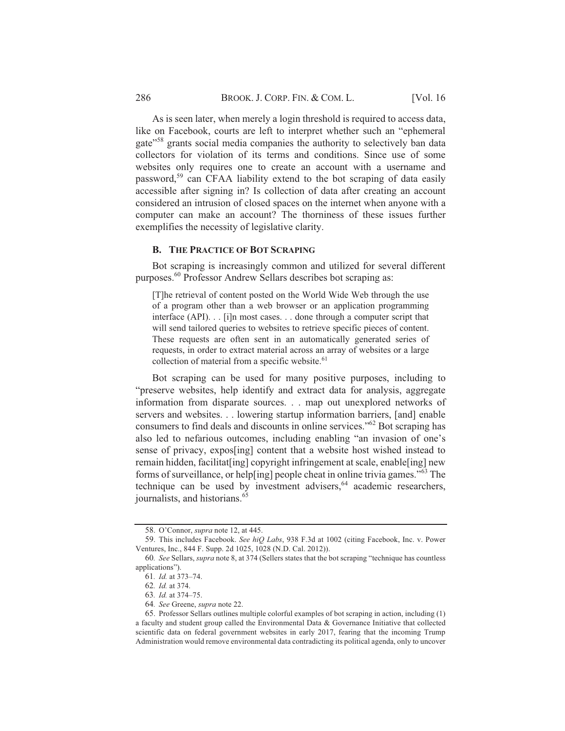As is seen later, when merely a login threshold is required to access data, like on Facebook, courts are left to interpret whether such an "ephemeral gate"<sup>58</sup> grants social media companies the authority to selectively ban data collectors for violation of its terms and conditions. Since use of some websites only requires one to create an account with a username and password,<sup>59</sup> can CFAA liability extend to the bot scraping of data easily accessible after signing in? Is collection of data after creating an account considered an intrusion of closed spaces on the internet when anyone with a computer can make an account? The thorniness of these issues further exemplifies the necessity of legislative clarity.

### **B. THE PRACTICE OF BOT SCRAPING**

Bot scraping is increasingly common and utilized for several different purposes.<sup>60</sup> Professor Andrew Sellars describes bot scraping as:

[T]he retrieval of content posted on the World Wide Web through the use of a program other than a web browser or an application programming interface (API). . . [i]n most cases. . . done through a computer script that will send tailored queries to websites to retrieve specific pieces of content. These requests are often sent in an automatically generated series of requests, in order to extract material across an array of websites or a large collection of material from a specific website.<sup>61</sup>

Bot scraping can be used for many positive purposes, including to "preserve websites, help identify and extract data for analysis, aggregate information from disparate sources. . . map out unexplored networks of servers and websites... lowering startup information barriers, [and] enable consumers to find deals and discounts in online services."<sup>62</sup> Bot scraping has also led to nefarious outcomes, including enabling "an invasion of one's sense of privacy, expos[ing] content that a website host wished instead to remain hidden, facilitat[ing] copyright infringement at scale, enable[ing] new forms of surveillance, or help[ing] people cheat in online trivia games."<sup>63</sup> The technique can be used by investment advisers,<sup>64</sup> academic researchers, journalists, and historians.<sup>65</sup>

<sup>58.</sup> O'Connor, *supra* note 12, at 445.

<sup>59.</sup> This includes Facebook. See hiO Labs, 938 F.3d at 1002 (citing Facebook, Inc. v. Power Ventures, Inc., 844 F. Supp. 2d 1025, 1028 (N.D. Cal. 2012)).

<sup>60.</sup> See Sellars, supra note 8, at 374 (Sellers states that the bot scraping "technique has countless applications").

<sup>61.</sup> Id. at 373-74.

<sup>62.</sup> Id. at 374.

<sup>63.</sup> Id. at 374-75.

<sup>64.</sup> See Greene, supra note 22.

<sup>65.</sup> Professor Sellars outlines multiple colorful examples of bot scraping in action, including (1) a faculty and student group called the Environmental Data & Governance Initiative that collected scientific data on federal government websites in early 2017, fearing that the incoming Trump Administration would remove environmental data contradicting its political agenda, only to uncover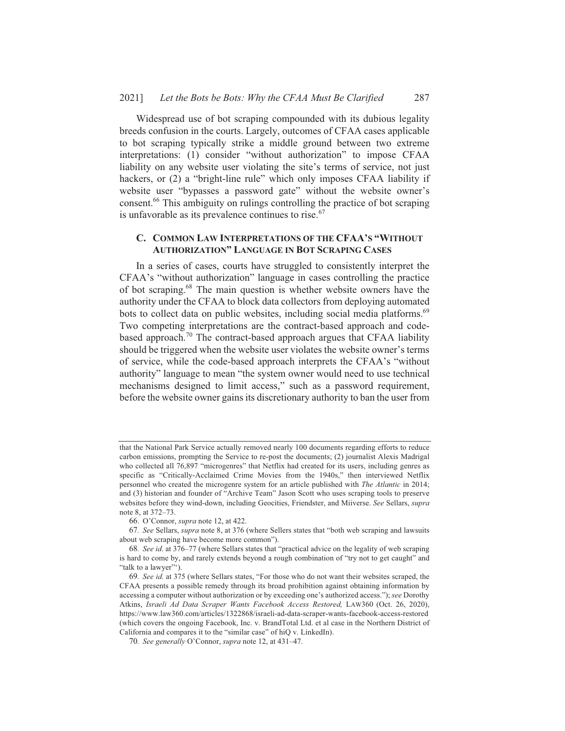Widespread use of bot scraping compounded with its dubious legality breeds confusion in the courts. Largely, outcomes of CFAA cases applicable to bot scraping typically strike a middle ground between two extreme interpretations: (1) consider "without authorization" to impose CFAA liability on any website user violating the site's terms of service, not just hackers, or (2) a "bright-line rule" which only imposes CFAA liability if website user "bypasses a password gate" without the website owner's consent.<sup>66</sup> This ambiguity on rulings controlling the practice of bot scraping is unfavorable as its prevalence continues to rise.<sup>67</sup>

# C. COMMON LAW INTERPRETATIONS OF THE CFAA'S "WITHOUT **AUTHORIZATION" LANGUAGE IN BOT SCRAPING CASES**

In a series of cases, courts have struggled to consistently interpret the CFAA's "without authorization" language in cases controlling the practice of bot scraping.<sup>68</sup> The main question is whether website owners have the authority under the CFAA to block data collectors from deploying automated bots to collect data on public websites, including social media platforms.<sup>69</sup> Two competing interpretations are the contract-based approach and codebased approach.<sup>70</sup> The contract-based approach argues that CFAA liability should be triggered when the website user violates the website owner's terms of service, while the code-based approach interprets the CFAA's "without authority" language to mean "the system owner would need to use technical mechanisms designed to limit access," such as a password requirement, before the website owner gains its discretionary authority to ban the user from

that the National Park Service actually removed nearly 100 documents regarding efforts to reduce carbon emissions, prompting the Service to re-post the documents; (2) journalist Alexis Madrigal who collected all 76,897 "microgenres" that Netflix had created for its users, including genres as specific as "Critically-Acclaimed Crime Movies from the 1940s," then interviewed Netflix personnel who created the microgenre system for an article published with *The Atlantic* in 2014; and (3) historian and founder of "Archive Team" Jason Scott who uses scraping tools to preserve websites before they wind-down, including Geocities, Friendster, and Miiverse. See Sellars, supra note 8, at 372-73.

<sup>66.</sup> O'Connor, *supra* note 12, at 422.

<sup>67.</sup> See Sellars, *supra* note 8, at 376 (where Sellers states that "both web scraping and lawsuits") about web scraping have become more common").

<sup>68.</sup> See id. at 376-77 (where Sellars states that "practical advice on the legality of web scraping is hard to come by, and rarely extends beyond a rough combination of "try not to get caught" and "talk to a lawyer"").

<sup>69.</sup> See id. at 375 (where Sellars states, "For those who do not want their websites scraped, the CFAA presents a possible remedy through its broad prohibition against obtaining information by accessing a computer without authorization or by exceeding one's authorized access."); see Dorothy Atkins, Israeli Ad Data Scraper Wants Facebook Access Restored, LAW360 (Oct. 26, 2020), https://www.law360.com/articles/1322868/israeli-ad-data-scraper-wants-facebook-access-restored (which covers the ongoing Facebook, Inc. v. BrandTotal Ltd. et al case in the Northern District of California and compares it to the "similar case" of hiQ v. LinkedIn).

<sup>70.</sup> See generally O'Connor, supra note 12, at 431-47.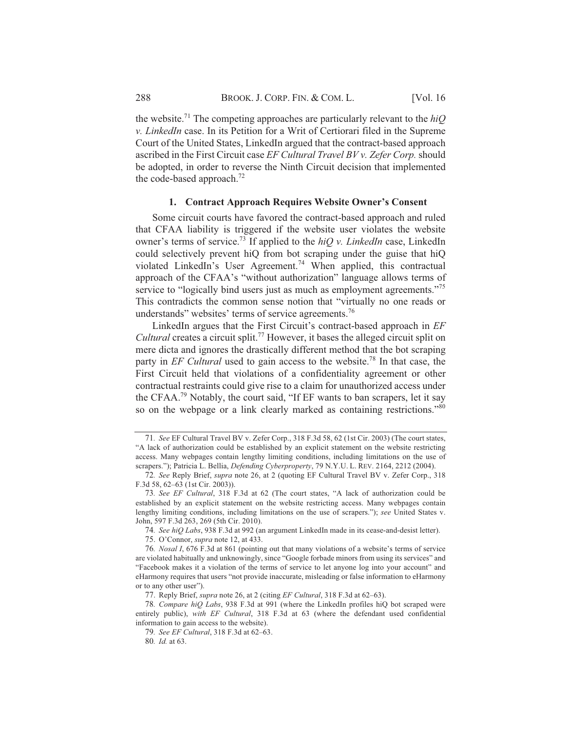the website.<sup>71</sup> The competing approaches are particularly relevant to the  $hiO$ v. LinkedIn case. In its Petition for a Writ of Certiorari filed in the Supreme Court of the United States, LinkedIn argued that the contract-based approach ascribed in the First Circuit case EF Cultural Travel BV v. Zefer Corp. should be adopted, in order to reverse the Ninth Circuit decision that implemented the code-based approach.<sup>72</sup>

#### 1. Contract Approach Requires Website Owner's Consent

Some circuit courts have favored the contract-based approach and ruled that CFAA liability is triggered if the website user violates the website owner's terms of service.<sup>73</sup> If applied to the  $hiOv$ . LinkedIn case, LinkedIn could selectively prevent hiQ from bot scraping under the guise that hiQ violated LinkedIn's User Agreement.<sup>74</sup> When applied, this contractual approach of the CFAA's "without authorization" language allows terms of service to "logically bind users just as much as employment agreements."<sup>75</sup> This contradicts the common sense notion that "virtually no one reads or understands" websites' terms of service agreements.<sup>76</sup>

LinkedIn argues that the First Circuit's contract-based approach in EF *Cultural* creates a circuit split.<sup>77</sup> However, it bases the alleged circuit split on mere dicta and ignores the drastically different method that the bot scraping party in EF Cultural used to gain access to the website.<sup>78</sup> In that case, the First Circuit held that violations of a confidentiality agreement or other contractual restraints could give rise to a claim for unauthorized access under the CFAA.<sup>79</sup> Notably, the court said, "If EF wants to ban scrapers, let it say so on the webpage or a link clearly marked as containing restrictions."<sup>80</sup>

<sup>71.</sup> See EF Cultural Travel BV v. Zefer Corp., 318 F.3d 58, 62 (1st Cir. 2003) (The court states, "A lack of authorization could be established by an explicit statement on the website restricting access. Many webpages contain lengthy limiting conditions, including limitations on the use of scrapers."); Patricia L. Bellia, Defending Cyberproperty, 79 N.Y.U. L. REV. 2164, 2212 (2004).

<sup>72.</sup> See Reply Brief, *supra* note 26, at 2 (quoting EF Cultural Travel BV v. Zefer Corp., 318 F.3d 58, 62–63 (1st Cir. 2003)).

<sup>73.</sup> See EF Cultural, 318 F.3d at 62 (The court states, "A lack of authorization could be established by an explicit statement on the website restricting access. Many webpages contain lengthy limiting conditions, including limitations on the use of scrapers."); see United States v. John, 597 F.3d 263, 269 (5th Cir. 2010).

<sup>74.</sup> See hiQ Labs, 938 F.3d at 992 (an argument LinkedIn made in its cease-and-desist letter).

<sup>75.</sup> O'Connor, *supra* note 12, at 433.

<sup>76.</sup> Nosal I, 676 F.3d at 861 (pointing out that many violations of a website's terms of service are violated habitually and unknowingly, since "Google forbade minors from using its services" and "Facebook makes it a violation of the terms of service to let anyone log into your account" and eHarmony requires that users "not provide inaccurate, misleading or false information to eHarmony or to any other user").

<sup>77.</sup> Reply Brief, *supra* note 26, at 2 (citing *EF Cultural*, 318 F.3d at 62–63).

<sup>78.</sup> Compare hiQ Labs, 938 F.3d at 991 (where the LinkedIn profiles hiQ bot scraped were entirely public), with EF Cultural, 318 F.3d at 63 (where the defendant used confidential information to gain access to the website).

<sup>79.</sup> See EF Cultural, 318 F.3d at 62-63.

<sup>80.</sup> Id. at 63.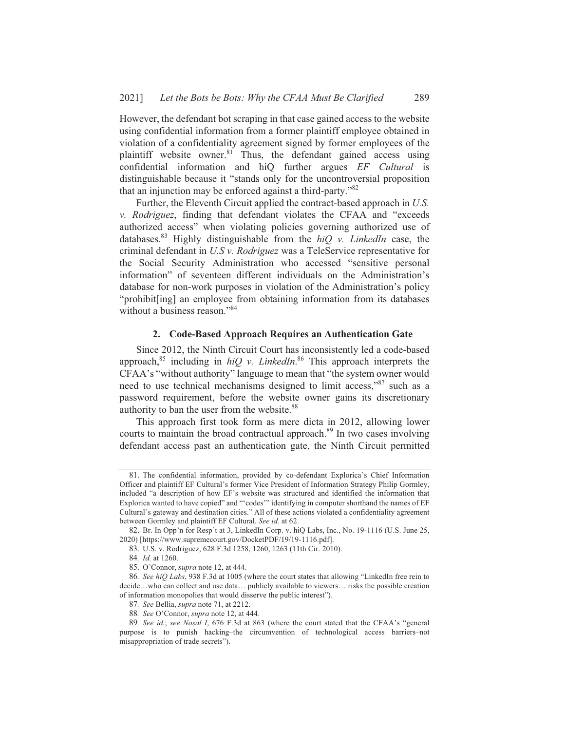However, the defendant bot scraping in that case gained access to the website using confidential information from a former plaintiff employee obtained in violation of a confidentiality agreement signed by former employees of the plaintiff website owner.<sup>81</sup> Thus, the defendant gained access using confidential information and hiQ further argues EF Cultural is distinguishable because it "stands only for the uncontroversial proposition that an injunction may be enforced against a third-party."<sup>82</sup>

Further, the Eleventh Circuit applied the contract-based approach in U.S. v. Rodriguez, finding that defendant violates the CFAA and "exceeds" authorized access" when violating policies governing authorized use of databases.<sup>83</sup> Highly distinguishable from the  $hiQ$  v. LinkedIn case, the criminal defendant in U.S v. Rodriguez was a TeleService representative for the Social Security Administration who accessed "sensitive personal information" of seventeen different individuals on the Administration's database for non-work purposes in violation of the Administration's policy "prohibit[ing] an employee from obtaining information from its databases without a business reason."<sup>84</sup>

#### 2. Code-Based Approach Requires an Authentication Gate

Since 2012, the Ninth Circuit Court has inconsistently led a code-based approach,<sup>85</sup> including in  $hiQ$  v. LinkedIn.<sup>86</sup> This approach interprets the CFAA's "without authority" language to mean that "the system owner would need to use technical mechanisms designed to limit access,"<sup>87</sup> such as a password requirement, before the website owner gains its discretionary authority to ban the user from the website.<sup>88</sup>

This approach first took form as mere dicta in 2012, allowing lower courts to maintain the broad contractual approach.<sup>89</sup> In two cases involving defendant access past an authentication gate, the Ninth Circuit permitted

<sup>81.</sup> The confidential information, provided by co-defendant Explorica's Chief Information Officer and plaintiff EF Cultural's former Vice President of Information Strategy Philip Gormley, included "a description of how EF's website was structured and identified the information that Explorica wanted to have copied" and "'codes'" identifying in computer shorthand the names of EF Cultural's gateway and destination cities." All of these actions violated a confidentiality agreement between Gormley and plaintiff EF Cultural. See id. at 62.

<sup>82.</sup> Br. In Opp'n for Resp't at 3, LinkedIn Corp. v. hiQ Labs, Inc., No. 19-1116 (U.S. June 25, 2020) [https://www.supremecourt.gov/DocketPDF/19/19-1116.pdf].

<sup>83.</sup> U.S. v. Rodriguez, 628 F.3d 1258, 1260, 1263 (11th Cir. 2010).

<sup>84.</sup> Id. at 1260.

<sup>85.</sup> O'Connor, *supra* note 12, at 444.

<sup>86.</sup> See hiQ Labs, 938 F.3d at 1005 (where the court states that allowing "LinkedIn free rein to decide...who can collect and use data... publicly available to viewers... risks the possible creation of information monopolies that would disserve the public interest").

<sup>87.</sup> See Bellia, supra note 71, at 2212.

<sup>88.</sup> See O'Connor, supra note 12, at 444.

<sup>89.</sup> See id.; see Nosal I, 676 F.3d at 863 (where the court stated that the CFAA's "general purpose is to punish hacking-the circumvention of technological access barriers-not misappropriation of trade secrets").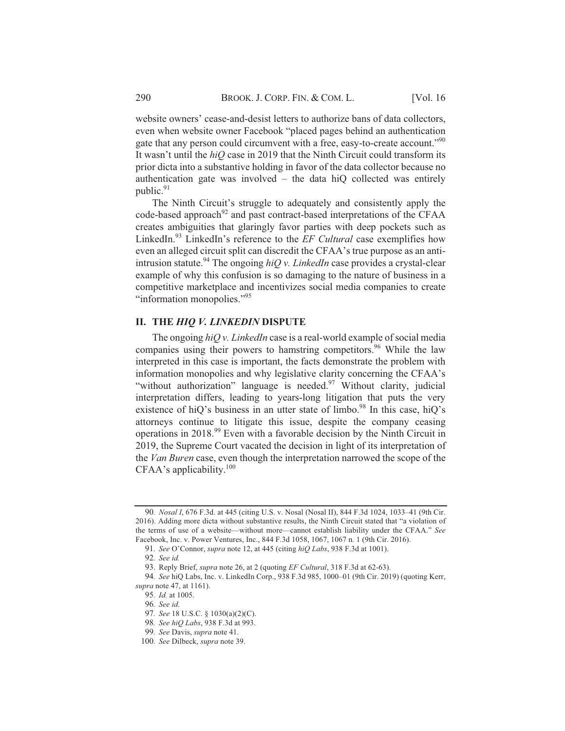website owners' cease-and-desist letters to authorize bans of data collectors, even when website owner Facebook "placed pages behind an authentication gate that any person could circumvent with a free, easy-to-create account."<sup>90</sup> It wasn't until the  $hiQ$  case in 2019 that the Ninth Circuit could transform its prior dicta into a substantive holding in favor of the data collector because no authentication gate was involved – the data hiQ collected was entirely public. $91$ 

The Ninth Circuit's struggle to adequately and consistently apply the code-based approach<sup>92</sup> and past contract-based interpretations of the CFAA creates ambiguities that glaringly favor parties with deep pockets such as LinkedIn.93 LinkedIn's reference to the EF Cultural case exemplifies how even an alleged circuit split can discredit the CFAA's true purpose as an antiintrusion statute.<sup>94</sup> The ongoing *hiQ v. LinkedIn* case provides a crystal-clear example of why this confusion is so damaging to the nature of business in a competitive marketplace and incentivizes social media companies to create "information monopolies."<sup>95</sup>

## II. THE HIQ V. LINKEDIN DISPUTE

The ongoing  $hiQv$ . LinkedIn case is a real-world example of social media companies using their powers to hamstring competitors.<sup>96</sup> While the law interpreted in this case is important, the facts demonstrate the problem with information monopolies and why legislative clarity concerning the CFAA's "without authorization" language is needed.<sup>97</sup> Without clarity, judicial interpretation differs, leading to years-long litigation that puts the very existence of hiQ's business in an utter state of limbo.<sup>98</sup> In this case, hiQ's attorneys continue to litigate this issue, despite the company ceasing operations in 2018.<sup>99</sup> Even with a favorable decision by the Ninth Circuit in 2019, the Supreme Court vacated the decision in light of its interpretation of the *Van Buren* case, even though the interpretation narrowed the scope of the  $CFAA$ 's applicability.<sup>100</sup>

<sup>90.</sup> Nosal I, 676 F.3d. at 445 (citing U.S. v. Nosal (Nosal II), 844 F.3d 1024, 1033-41 (9th Cir. 2016). Adding more dicta without substantive results, the Ninth Circuit stated that "a violation of the terms of use of a website—without more—cannot establish liability under the CFAA." See Facebook, Inc. v. Power Ventures, Inc., 844 F.3d 1058, 1067, 1067 n. 1 (9th Cir. 2016).

<sup>91.</sup> See O'Connor, supra note 12, at 445 (citing hiQ Labs, 938 F.3d at 1001).

<sup>92.</sup> See  $id$ 

<sup>93.</sup> Reply Brief, supra note 26, at 2 (quoting EF Cultural, 318 F.3d at 62-63).

<sup>94.</sup> See hiQ Labs, Inc. v. LinkedIn Corp., 938 F.3d 985, 1000-01 (9th Cir. 2019) (quoting Kerr, supra note 47, at 1161).

<sup>95.</sup> Id. at 1005.

<sup>96.</sup> See id.

<sup>97.</sup> See 18 U.S.C. § 1030(a)(2)(C).

<sup>98.</sup> See hiQ Labs, 938 F.3d at 993.

<sup>99.</sup> See Davis, supra note 41.

<sup>100.</sup> See Dilbeck, supra note 39.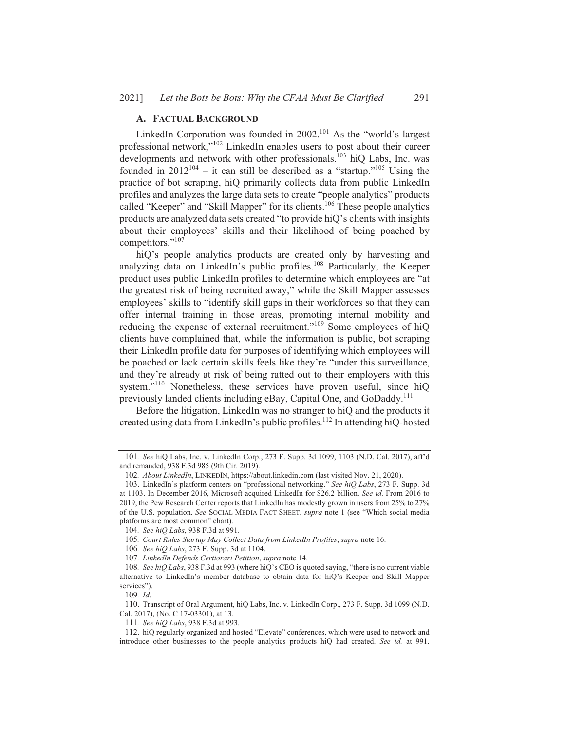## A. FACTUAL BACKGROUND

LinkedIn Corporation was founded in 2002.<sup>101</sup> As the "world's largest" professional network,"<sup>102</sup> LinkedIn enables users to post about their career developments and network with other professionals.<sup>103</sup> hiQ Labs, Inc. was founded in  $2012^{104}$  – it can still be described as a "startup."<sup>105</sup> Using the practice of bot scraping, hiQ primarily collects data from public LinkedIn profiles and analyzes the large data sets to create "people analytics" products called "Keeper" and "Skill Mapper" for its clients.<sup>106</sup> These people analytics products are analyzed data sets created "to provide hiQ's clients with insights about their employees' skills and their likelihood of being poached by competitors."<sup>107</sup>

hiQ's people analytics products are created only by harvesting and analyzing data on LinkedIn's public profiles.<sup>108</sup> Particularly, the Keeper product uses public LinkedIn profiles to determine which employees are "at the greatest risk of being recruited away," while the Skill Mapper assesses employees' skills to "identify skill gaps in their workforces so that they can offer internal training in those areas, promoting internal mobility and reducing the expense of external recruitment."<sup>109</sup> Some employees of hiO clients have complained that, while the information is public, bot scraping their LinkedIn profile data for purposes of identifying which employees will be poached or lack certain skills feels like they're "under this surveillance, and they're already at risk of being ratted out to their employers with this system."<sup>110</sup> Nonetheless, these services have proven useful, since hiQ previously landed clients including eBay, Capital One, and GoDaddy.<sup>111</sup>

Before the litigation, LinkedIn was no stranger to hiQ and the products it created using data from LinkedIn's public profiles.<sup>112</sup> In attending hiQ-hosted

 $109.$  Id.

110. Transcript of Oral Argument, hiQ Labs, Inc. v. LinkedIn Corp., 273 F. Supp. 3d 1099 (N.D. Cal. 2017), (No. C 17-03301), at 13.

<sup>101.</sup> See hiQ Labs, Inc. v. LinkedIn Corp., 273 F. Supp. 3d 1099, 1103 (N.D. Cal. 2017), aff'd and remanded, 938 F.3d 985 (9th Cir. 2019).

<sup>102.</sup> About LinkedIn, LINKEDIN, https://about.linkedin.com (last visited Nov. 21, 2020).

<sup>103.</sup> LinkedIn's platform centers on "professional networking." See hiQ Labs, 273 F. Supp. 3d at 1103. In December 2016, Microsoft acquired LinkedIn for \$26.2 billion. See id. From 2016 to 2019, the Pew Research Center reports that LinkedIn has modestly grown in users from 25% to 27% of the U.S. population. See SOCIAL MEDIA FACT SHEET, supra note 1 (see "Which social media platforms are most common" chart).

<sup>104.</sup> See hiQ Labs, 938 F.3d at 991.

<sup>105.</sup> Court Rules Startup May Collect Data from LinkedIn Profiles, supra note 16.

<sup>106.</sup> See hiQ Labs, 273 F. Supp. 3d at 1104.

<sup>107.</sup> LinkedIn Defends Certiorari Petition, supra note 14.

<sup>108.</sup> See hiQ Labs, 938 F.3d at 993 (where hiQ's CEO is quoted saying, "there is no current viable alternative to LinkedIn's member database to obtain data for hiQ's Keeper and Skill Mapper services").

<sup>111.</sup> See hiQ Labs, 938 F.3d at 993.

<sup>112.</sup> hiQ regularly organized and hosted "Elevate" conferences, which were used to network and introduce other businesses to the people analytics products hiQ had created. See id. at 991.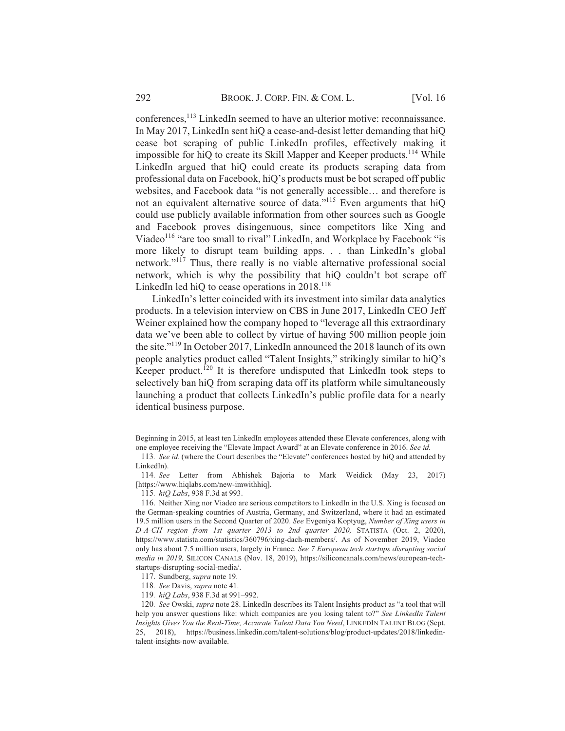conferences,<sup>113</sup> LinkedIn seemed to have an ulterior motive: reconnaissance. In May 2017, LinkedIn sent hiQ a cease-and-desist letter demanding that hiQ cease bot scraping of public LinkedIn profiles, effectively making it impossible for hiQ to create its Skill Mapper and Keeper products.<sup>114</sup> While LinkedIn argued that hiQ could create its products scraping data from professional data on Facebook, hiQ's products must be bot scraped off public websites, and Facebook data "is not generally accessible... and therefore is not an equivalent alternative source of data."<sup>115</sup> Even arguments that hiQ could use publicly available information from other sources such as Google and Facebook proves disingenuous, since competitors like Xing and Viadeo<sup>116</sup> "are too small to rival" LinkedIn, and Workplace by Facebook "is more likely to disrupt team building apps. . . than LinkedIn's global network."<sup>117</sup> Thus, there really is no viable alternative professional social network, which is why the possibility that hiQ couldn't bot scrape off LinkedIn led hiO to cease operations in  $2018$ <sup>118</sup>

LinkedIn's letter coincided with its investment into similar data analytics products. In a television interview on CBS in June 2017, LinkedIn CEO Jeff Weiner explained how the company hoped to "leverage all this extraordinary data we've been able to collect by virtue of having 500 million people join the site."<sup>119</sup> In October 2017, LinkedIn announced the 2018 launch of its own people analytics product called "Talent Insights," strikingly similar to hiQ's Keeper product.<sup>120</sup> It is therefore undisputed that LinkedIn took steps to selectively ban hiQ from scraping data off its platform while simultaneously launching a product that collects LinkedIn's public profile data for a nearly identical business purpose.

Beginning in 2015, at least ten LinkedIn employees attended these Elevate conferences, along with one employee receiving the "Elevate Impact Award" at an Elevate conference in 2016. See id.

<sup>113.</sup> See id. (where the Court describes the "Elevate" conferences hosted by hiQ and attended by LinkedIn).

<sup>114.</sup> See Letter from Abhishek Bajoria to Mark Weidick (May 23, 2017) [https://www.higlabs.com/new-imwithhig].

<sup>115.</sup> hiQ Labs, 938 F.3d at 993.

<sup>116.</sup> Neither Xing nor Viadeo are serious competitors to LinkedIn in the U.S. Xing is focused on the German-speaking countries of Austria, Germany, and Switzerland, where it had an estimated 19.5 million users in the Second Quarter of 2020. See Evgeniya Koptyug, Number of Xing users in D-A-CH region from 1st quarter 2013 to 2nd quarter 2020, STATISTA (Oct. 2, 2020), https://www.statista.com/statistics/360796/xing-dach-members/. As of November 2019, Viadeo only has about 7.5 million users, largely in France. See 7 European tech startups disrupting social media in 2019, SILICON CANALS (Nov. 18, 2019), https://siliconcanals.com/news/european-techstartups-disrupting-social-media/.

<sup>117.</sup> Sundberg, supra note 19.

<sup>118.</sup> See Davis, supra note 41.

<sup>119.</sup> hiQ Labs, 938 F.3d at 991-992.

<sup>120.</sup> See Owski, supra note 28. LinkedIn describes its Talent Insights product as "a tool that will help you answer questions like: which companies are you losing talent to?" See LinkedIn Talent Insights Gives You the Real-Time, Accurate Talent Data You Need, LINKEDIN TALENT BLOG (Sept. 25, 2018), https://business.linkedin.com/talent-solutions/blog/product-updates/2018/linkedintalent-insights-now-available.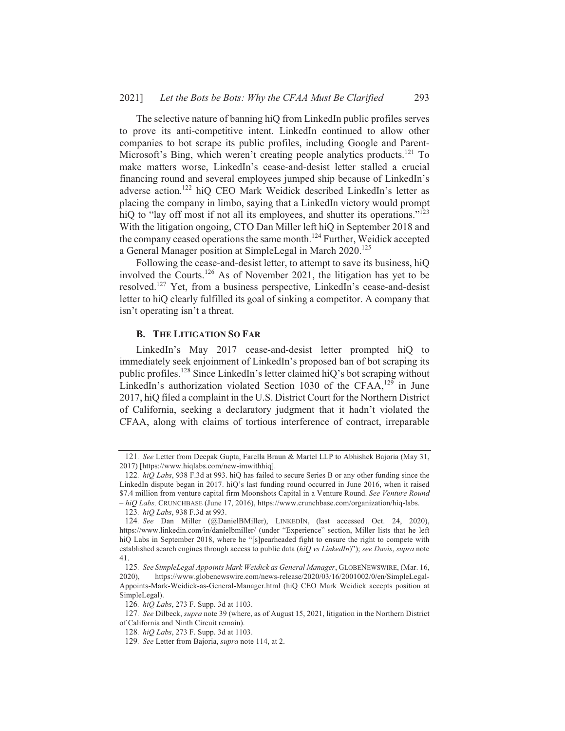The selective nature of banning hiQ from LinkedIn public profiles serves to prove its anti-competitive intent. LinkedIn continued to allow other companies to bot scrape its public profiles, including Google and Parent-Microsoft's Bing, which weren't creating people analytics products.<sup>121</sup> To make matters worse, LinkedIn's cease-and-desist letter stalled a crucial financing round and several employees jumped ship because of LinkedIn's adverse action.<sup>122</sup> hiO CEO Mark Weidick described LinkedIn's letter as placing the company in limbo, saying that a LinkedIn victory would prompt hiQ to "lay off most if not all its employees, and shutter its operations."<sup>123</sup> With the litigation ongoing, CTO Dan Miller left hiQ in September 2018 and the company ceased operations the same month.<sup>124</sup> Further, Weidick accepted a General Manager position at SimpleLegal in March 2020.<sup>125</sup>

Following the cease-and-desist letter, to attempt to save its business, hiQ involved the Courts.<sup>126</sup> As of November 2021, the litigation has yet to be resolved.<sup>127</sup> Yet, from a business perspective, LinkedIn's cease-and-desist letter to hiQ clearly fulfilled its goal of sinking a competitor. A company that isn't operating isn't a threat.

#### **B. THE LITIGATION SO FAR**

LinkedIn's May 2017 cease-and-desist letter prompted hiQ to immediately seek enjoinment of LinkedIn's proposed ban of bot scraping its public profiles.<sup>128</sup> Since LinkedIn's letter claimed hiQ's bot scraping without LinkedIn's authorization violated Section 1030 of the CFAA,<sup>129</sup> in June 2017, hiO filed a complaint in the U.S. District Court for the Northern District of California, seeking a declaratory judgment that it hadn't violated the CFAA, along with claims of tortious interference of contract, irreparable

<sup>121.</sup> See Letter from Deepak Gupta, Farella Braun & Martel LLP to Abhishek Bajoria (May 31, 2017) [https://www.hiqlabs.com/new-imwithhiq].

<sup>122.</sup> hiQ Labs, 938 F.3d at 993. hiQ has failed to secure Series B or any other funding since the LinkedIn dispute began in 2017. hiQ's last funding round occurred in June 2016, when it raised \$7.4 million from venture capital firm Moonshots Capital in a Venture Round. See Venture Round  $-hiQ$  Labs, CRUNCHBASE (June 17, 2016), https://www.crunchbase.com/organization/hiq-labs.

<sup>123.</sup> hiO Labs, 938 F.3d at 993.

<sup>124.</sup> See Dan Miller (@DanielBMiller), LINKEDIN, (last accessed Oct. 24, 2020), https://www.linkedin.com/in/danielbmiller/ (under "Experience" section, Miller lists that he left hiQ Labs in September 2018, where he "[s]pearheaded fight to ensure the right to compete with established search engines through access to public data ( $hiQ$  vs LinkedIn)"); see Davis, supra note  $41$ 

<sup>125.</sup> See SimpleLegal Appoints Mark Weidick as General Manager, GLOBENEWSWIRE, (Mar. 16,  $2020$ ). https://www.globenewswire.com/news-release/2020/03/16/2001002/0/en/SimpleLegal-Appoints-Mark-Weidick-as-General-Manager.html (hiQ CEO Mark Weidick accepts position at SimpleLegal).

<sup>126.</sup> hiQ Labs, 273 F. Supp. 3d at 1103.

<sup>127.</sup> See Dilbeck, supra note 39 (where, as of August 15, 2021, litigation in the Northern District of California and Ninth Circuit remain).

<sup>128.</sup> hiQ Labs, 273 F. Supp. 3d at 1103.

<sup>129.</sup> See Letter from Bajoria, supra note 114, at 2.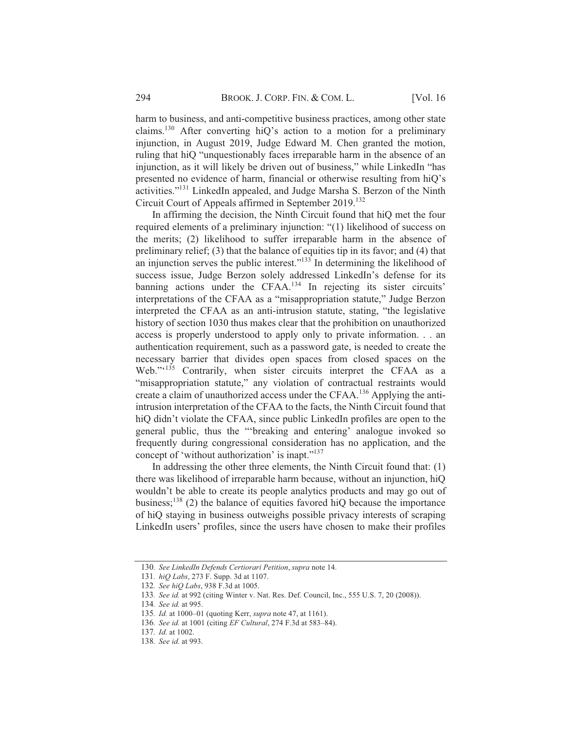harm to business, and anti-competitive business practices, among other state claims.<sup>130</sup> After converting hiQ's action to a motion for a preliminary injunction, in August 2019, Judge Edward M. Chen granted the motion, ruling that hiQ "unquestionably faces irreparable harm in the absence of an injunction, as it will likely be driven out of business," while LinkedIn "has presented no evidence of harm, financial or otherwise resulting from hiQ's activities."<sup>131</sup> LinkedIn appealed, and Judge Marsha S. Berzon of the Ninth Circuit Court of Appeals affirmed in September 2019.<sup>132</sup>

In affirming the decision, the Ninth Circuit found that hio met the four required elements of a preliminary injunction: "(1) likelihood of success on the merits; (2) likelihood to suffer irreparable harm in the absence of preliminary relief; (3) that the balance of equities tip in its favor; and (4) that an injunction serves the public interest."<sup>133</sup> In determining the likelihood of success issue, Judge Berzon solely addressed LinkedIn's defense for its banning actions under the CFAA.<sup>134</sup> In rejecting its sister circuits' interpretations of the CFAA as a "misappropriation statute," Judge Berzon interpreted the CFAA as an anti-intrusion statute, stating, "the legislative history of section 1030 thus makes clear that the prohibition on unauthorized access is properly understood to apply only to private information. . . an authentication requirement, such as a password gate, is needed to create the necessary barrier that divides open spaces from closed spaces on the Web."<sup>135</sup> Contrarily, when sister circuits interpret the CFAA as a "misappropriation statute." any violation of contractual restraints would create a claim of unauthorized access under the CFAA.<sup>136</sup> Applying the antiintrusion interpretation of the CFAA to the facts, the Ninth Circuit found that hiQ didn't violate the CFAA, since public LinkedIn profiles are open to the general public, thus the "breaking and entering' analogue invoked so frequently during congressional consideration has no application, and the concept of 'without authorization' is inapt."<sup>137</sup>

In addressing the other three elements, the Ninth Circuit found that: (1) there was likelihood of irreparable harm because, without an injunction, hiQ wouldn't be able to create its people analytics products and may go out of business;<sup>138</sup> (2) the balance of equities favored hiQ because the importance of hiQ staying in business outweighs possible privacy interests of scraping LinkedIn users' profiles, since the users have chosen to make their profiles

<sup>130.</sup> See LinkedIn Defends Certiorari Petition, supra note 14.

<sup>131.</sup> hiQ Labs, 273 F. Supp. 3d at 1107.

<sup>132.</sup> See hiQ Labs, 938 F.3d at 1005.

<sup>133.</sup> See id. at 992 (citing Winter v. Nat. Res. Def. Council, Inc., 555 U.S. 7, 20 (2008)).

<sup>134.</sup> See id. at 995.

<sup>135.</sup> Id. at 1000-01 (quoting Kerr, *supra* note 47, at 1161).

<sup>136.</sup> See id. at 1001 (citing EF Cultural, 274 F.3d at 583-84).

<sup>137.</sup> Id. at 1002.

<sup>138.</sup> See id. at 993.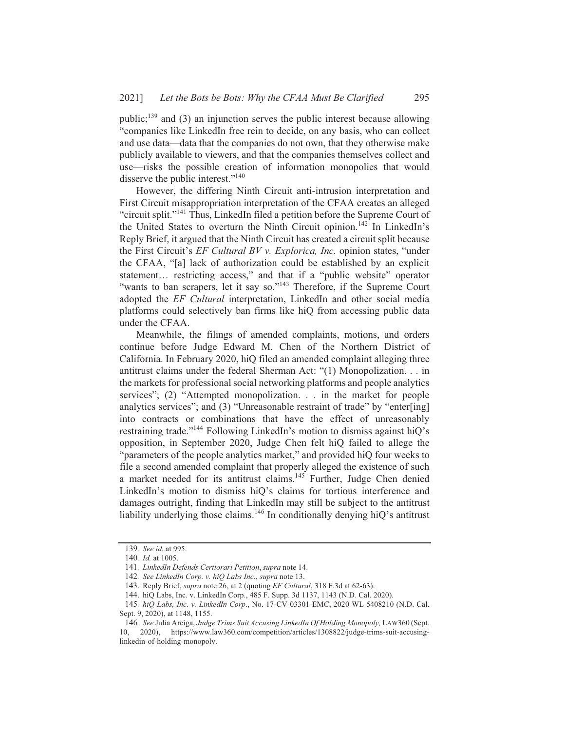public:<sup>139</sup> and (3) an injunction serves the public interest because allowing "companies like LinkedIn free rein to decide, on any basis, who can collect and use data—data that the companies do not own, that they otherwise make publicly available to viewers, and that the companies themselves collect and use—risks the possible creation of information monopolies that would disserve the public interest."<sup>140</sup>

However, the differing Ninth Circuit anti-intrusion interpretation and First Circuit misappropriation interpretation of the CFAA creates an alleged "circuit split."<sup>141</sup> Thus, LinkedIn filed a petition before the Supreme Court of the United States to overturn the Ninth Circuit opinion.<sup>142</sup> In LinkedIn's Reply Brief, it argued that the Ninth Circuit has created a circuit split because the First Circuit's *EF Cultural BV v. Explorica, Inc.* opinion states, "under the CFAA, "[a] lack of authorization could be established by an explicit statement... restricting access," and that if a "public website" operator "wants to ban scrapers, let it say so."<sup>143</sup> Therefore, if the Supreme Court adopted the EF Cultural interpretation, LinkedIn and other social media platforms could selectively ban firms like hiQ from accessing public data under the CFAA.

Meanwhile, the filings of amended complaints, motions, and orders continue before Judge Edward M. Chen of the Northern District of California. In February 2020, hiQ filed an amended complaint alleging three antitrust claims under the federal Sherman Act: "(1) Monopolization. . . in the markets for professional social networking platforms and people analytics services"; (2) "Attempted monopolization. . . in the market for people analytics services"; and (3) "Unreasonable restraint of trade" by "enter[ing] into contracts or combinations that have the effect of unreasonably restraining trade."<sup>144</sup> Following LinkedIn's motion to dismiss against hiQ's opposition, in September 2020, Judge Chen felt hiQ failed to allege the "parameters of the people analytics market," and provided hiQ four weeks to file a second amended complaint that properly alleged the existence of such a market needed for its antitrust claims.<sup>145</sup> Further, Judge Chen denied LinkedIn's motion to dismiss hiQ's claims for tortious interference and damages outright, finding that LinkedIn may still be subject to the antitrust liability underlying those claims.<sup>146</sup> In conditionally denying hiQ's antitrust

<sup>139.</sup> See id. at 995.

<sup>140.</sup> Id. at 1005.

<sup>141.</sup> LinkedIn Defends Certiorari Petition, supra note 14.

<sup>142.</sup> See LinkedIn Corp. v. hiQ Labs Inc., supra note 13.

<sup>143.</sup> Reply Brief, *supra* note 26, at 2 (quoting *EF Cultural*, 318 F.3d at 62-63).

<sup>144.</sup> hiQ Labs, Inc. v. LinkedIn Corp., 485 F. Supp. 3d 1137, 1143 (N.D. Cal. 2020).

<sup>145.</sup> hiQ Labs, Inc. v. LinkedIn Corp., No. 17-CV-03301-EMC, 2020 WL 5408210 (N.D. Cal. Sept. 9, 2020), at 1148, 1155.

<sup>146.</sup> See Julia Arciga, Judge Trims Suit Accusing LinkedIn Of Holding Monopoly, LAW360 (Sept.  $10.$ 2020), https://www.law360.com/competition/articles/1308822/judge-trims-suit-accusinglinkedin-of-holding-monopoly.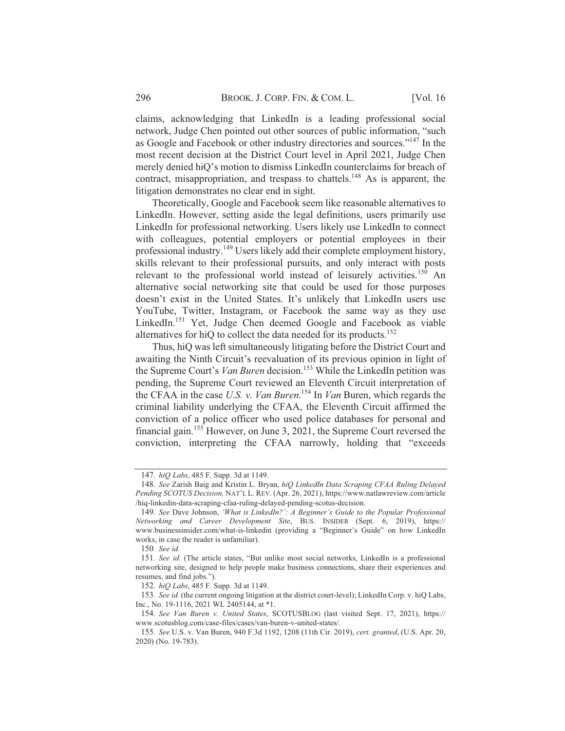claims, acknowledging that LinkedIn is a leading professional social network, Judge Chen pointed out other sources of public information, "such as Google and Facebook or other industry directories and sources."<sup>147</sup> In the most recent decision at the District Court level in April 2021, Judge Chen merely denied hiQ's motion to dismiss LinkedIn counterclaims for breach of contract, misappropriation, and trespass to chattels.<sup>148</sup> As is apparent, the litigation demonstrates no clear end in sight.

Theoretically, Google and Facebook seem like reasonable alternatives to LinkedIn. However, setting aside the legal definitions, users primarily use LinkedIn for professional networking. Users likely use LinkedIn to connect with colleagues, potential employers or potential employees in their professional industry.<sup>149</sup> Users likely add their complete employment history, skills relevant to their professional pursuits, and only interact with posts relevant to the professional world instead of leisurely activities.<sup>150</sup> An alternative social networking site that could be used for those purposes doesn't exist in the United States. It's unlikely that LinkedIn users use YouTube, Twitter, Instagram, or Facebook the same way as they use LinkedIn.<sup>151</sup> Yet, Judge Chen deemed Google and Facebook as viable alternatives for hiQ to collect the data needed for its products.<sup>152</sup>

Thus, hiQ was left simultaneously litigating before the District Court and awaiting the Ninth Circuit's reevaluation of its previous opinion in light of the Supreme Court's Van Buren decision.<sup>153</sup> While the LinkedIn petition was pending, the Supreme Court reviewed an Eleventh Circuit interpretation of the CFAA in the case U.S. v. Van Buren.<sup>154</sup> In Van Buren, which regards the criminal liability underlying the CFAA, the Eleventh Circuit affirmed the conviction of a police officer who used police databases for personal and financial gain.<sup>155</sup> However, on June 3, 2021, the Supreme Court reversed the conviction, interpreting the CFAA narrowly, holding that "exceeds"

<sup>147.</sup> hiQ Labs, 485 F. Supp. 3d at 1149.

<sup>148.</sup> See Zarish Baig and Kristin L. Bryan, hiO LinkedIn Data Scraping CFAA Ruling Delayed Pending SCOTUS Decision, NAT'L L. REV. (Apr. 26, 2021), https://www.natlawreview.com/article /hiq-linkedin-data-scraping-cfaa-ruling-delayed-pending-scotus-decision.

<sup>149.</sup> See Dave Johnson, 'What is LinkedIn?': A Beginner's Guide to the Popular Professional Networking and Career Development Site, BUS. INSIDER (Sept. 6, 2019), https:// www.businessinsider.com/what-is-linkedin (providing a "Beginner's Guide" on how LinkedIn works, in case the reader is unfamiliar).

<sup>150.</sup> See id.

<sup>151.</sup> See id. (The article states, "But unlike most social networks, LinkedIn is a professional networking site, designed to help people make business connections, share their experiences and resumes, and find jobs.").

<sup>152.</sup> hiQ Labs, 485 F. Supp. 3d at 1149.

<sup>153.</sup> See id. (the current ongoing litigation at the district court-level); LinkedIn Corp. v. hiQ Labs, Inc., No. 19-1116, 2021 WL 2405144, at \*1.

<sup>154.</sup> See Van Buren v. United States, SCOTUSBLOG (last visited Sept. 17, 2021), https:// www.scotusblog.com/case-files/cases/van-buren-v-united-states/.

<sup>155.</sup> See U.S. v. Van Buren, 940 F.3d 1192, 1208 (11th Cir. 2019), cert. granted, (U.S. Apr. 20, 2020) (No. 19-783).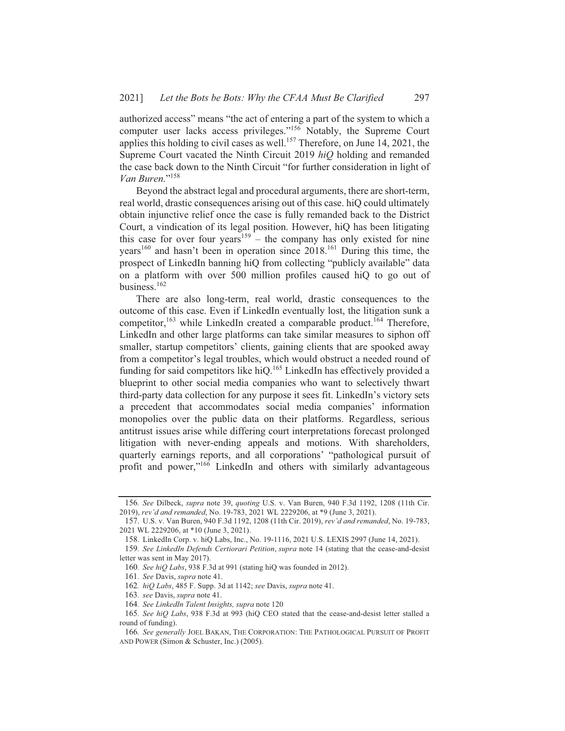authorized access" means "the act of entering a part of the system to which a computer user lacks access privileges."<sup>156</sup> Notably, the Supreme Court applies this holding to civil cases as well.<sup>157</sup> Therefore, on June 14, 2021, the Supreme Court vacated the Ninth Circuit 2019 hiQ holding and remanded the case back down to the Ninth Circuit "for further consideration in light of Van Buren."<sup>158</sup>

Beyond the abstract legal and procedural arguments, there are short-term, real world, drastic consequences arising out of this case. hiQ could ultimately obtain injunctive relief once the case is fully remanded back to the District Court, a vindication of its legal position. However, hiQ has been litigating this case for over four years<sup>159</sup> – the company has only existed for nine years<sup>160</sup> and hasn't been in operation since 2018.<sup>161</sup> During this time, the prospect of LinkedIn banning hiQ from collecting "publicly available" data on a platform with over 500 million profiles caused hiQ to go out of business. $162$ 

There are also long-term, real world, drastic consequences to the outcome of this case. Even if LinkedIn eventually lost, the litigation sunk a competitor, <sup>163</sup> while LinkedIn created a comparable product.<sup>164</sup> Therefore, LinkedIn and other large platforms can take similar measures to siphon off smaller, startup competitors' clients, gaining clients that are spooked away from a competitor's legal troubles, which would obstruct a needed round of funding for said competitors like hiQ.<sup>165</sup> LinkedIn has effectively provided a blueprint to other social media companies who want to selectively thwart third-party data collection for any purpose it sees fit. LinkedIn's victory sets a precedent that accommodates social media companies' information monopolies over the public data on their platforms. Regardless, serious antitrust issues arise while differing court interpretations forecast prolonged litigation with never-ending appeals and motions. With shareholders, quarterly earnings reports, and all corporations' "pathological pursuit of profit and power,"<sup>166</sup> LinkedIn and others with similarly advantageous

<sup>156.</sup> See Dilbeck, supra note 39, quoting U.S. v. Van Buren, 940 F.3d 1192, 1208 (11th Cir. 2019), rev'd and remanded, No. 19-783, 2021 WL 2229206, at \*9 (June 3, 2021).

<sup>157.</sup> U.S. v. Van Buren, 940 F.3d 1192, 1208 (11th Cir. 2019), rev'd and remanded, No. 19-783, 2021 WL 2229206, at \*10 (June 3, 2021).

<sup>158.</sup> LinkedIn Corp. v. hiQ Labs, Inc., No. 19-1116, 2021 U.S. LEXIS 2997 (June 14, 2021).

<sup>159.</sup> See LinkedIn Defends Certiorari Petition, supra note 14 (stating that the cease-and-desist letter was sent in May 2017).

<sup>160.</sup> See hiQ Labs, 938 F.3d at 991 (stating hiQ was founded in 2012).

<sup>161.</sup> See Davis, supra note 41.

<sup>162.</sup> hiQ Labs, 485 F. Supp. 3d at 1142; see Davis, supra note 41.

<sup>163.</sup> see Davis, supra note 41.

<sup>164.</sup> See LinkedIn Talent Insights, supra note 120

<sup>165.</sup> See hiQ Labs, 938 F.3d at 993 (hiQ CEO stated that the cease-and-desist letter stalled a round of funding).

<sup>166.</sup> See generally JOEL BAKAN, THE CORPORATION: THE PATHOLOGICAL PURSUIT OF PROFIT AND POWER (Simon & Schuster, Inc.) (2005).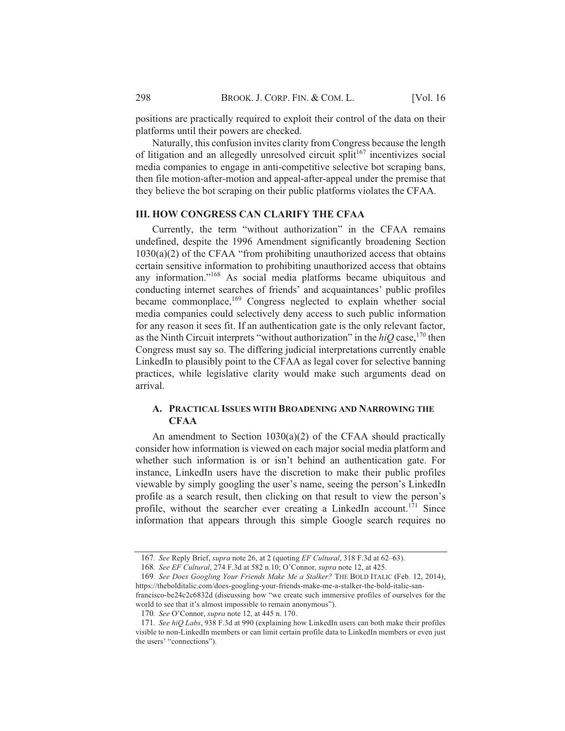positions are practically required to exploit their control of the data on their platforms until their powers are checked.

Naturally, this confusion invites clarity from Congress because the length of litigation and an allegedly unresolved circuit split<sup>167</sup> incentivizes social media companies to engage in anti-competitive selective bot scraping bans, then file motion-after-motion and appeal-after-appeal under the premise that they believe the bot scraping on their public platforms violates the CFAA.

## **III. HOW CONGRESS CAN CLARIFY THE CFAA**

Currently, the term "without authorization" in the CFAA remains undefined, despite the 1996 Amendment significantly broadening Section  $1030(a)(2)$  of the CFAA "from prohibiting unauthorized access that obtains certain sensitive information to prohibiting unauthorized access that obtains any information."<sup>168</sup> As social media platforms became ubiquitous and conducting internet searches of friends' and acquaintances' public profiles became commonplace,<sup>169</sup> Congress neglected to explain whether social media companies could selectively deny access to such public information for any reason it sees fit. If an authentication gate is the only relevant factor, as the Ninth Circuit interprets "without authorization" in the  $hiQ$  case, <sup>170</sup> then Congress must say so. The differing judicial interpretations currently enable LinkedIn to plausibly point to the CFAA as legal cover for selective banning practices, while legislative clarity would make such arguments dead on arrival.

# A. PRACTICAL ISSUES WITH BROADENING AND NARROWING THE **CFAA**

An amendment to Section  $1030(a)(2)$  of the CFAA should practically consider how information is viewed on each major social media platform and whether such information is or isn't behind an authentication gate. For instance, LinkedIn users have the discretion to make their public profiles viewable by simply googling the user's name, seeing the person's LinkedIn profile as a search result, then clicking on that result to view the person's profile, without the searcher ever creating a LinkedIn account.<sup>171</sup> Since information that appears through this simple Google search requires no

<sup>167.</sup> See Reply Brief, *supra* note 26, at 2 (quoting *EF Cultural*, 318 F.3d at 62–63).

<sup>168.</sup> See EF Cultural, 274 F.3d at 582 n.10; O'Connor, supra note 12, at 425.

<sup>169.</sup> See Does Googling Your Friends Make Me a Stalker? THE BOLD ITALIC (Feb. 12, 2014), https://thebolditalic.com/does-googling-your-friends-make-me-a-stalker-the-bold-italic-sanfrancisco-be24c2c6832d (discussing how "we create such immersive profiles of ourselves for the

world to see that it's almost impossible to remain anonymous").

<sup>170.</sup> See O'Connor, supra note 12, at 445 n. 170.

<sup>171.</sup> See hiQ Labs, 938 F.3d at 990 (explaining how LinkedIn users can both make their profiles visible to non-LinkedIn members or can limit certain profile data to LinkedIn members or even just the users' "connections").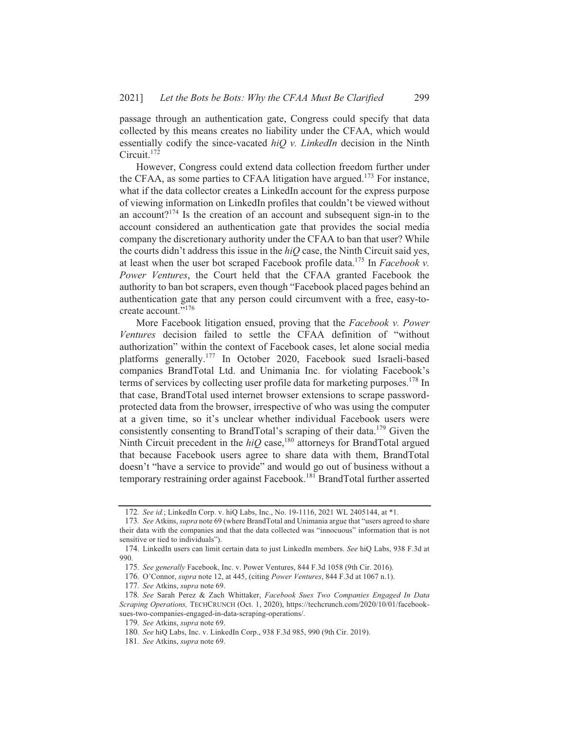passage through an authentication gate, Congress could specify that data collected by this means creates no liability under the CFAA, which would essentially codify the since-vacated  $hiO$  v. LinkedIn decision in the Ninth Circuit.<sup>172</sup>

However, Congress could extend data collection freedom further under the CFAA, as some parties to CFAA litigation have argued.<sup>173</sup> For instance, what if the data collector creates a LinkedIn account for the express purpose of viewing information on LinkedIn profiles that couldn't be viewed without an account?<sup>174</sup> Is the creation of an account and subsequent sign-in to the account considered an authentication gate that provides the social media company the discretionary authority under the CFAA to ban that user? While the courts didn't address this issue in the  $hiQ$  case, the Ninth Circuit said yes, at least when the user bot scraped Facebook profile data.<sup>175</sup> In *Facebook v*. Power Ventures, the Court held that the CFAA granted Facebook the authority to ban bot scrapers, even though "Facebook placed pages behind an authentication gate that any person could circumvent with a free, easy-tocreate account."176

More Facebook litigation ensued, proving that the Facebook v. Power Ventures decision failed to settle the CFAA definition of "without authorization" within the context of Facebook cases, let alone social media platforms generally.<sup>177</sup> In October 2020, Facebook sued Israeli-based companies BrandTotal Ltd. and Unimania Inc. for violating Facebook's terms of services by collecting user profile data for marketing purposes.<sup>178</sup> In that case, BrandTotal used internet browser extensions to scrape passwordprotected data from the browser, irrespective of who was using the computer at a given time, so it's unclear whether individual Facebook users were consistently consenting to BrandTotal's scraping of their data.<sup>179</sup> Given the Ninth Circuit precedent in the  $hiQ$  case,<sup>180</sup> attorneys for BrandTotal argued that because Facebook users agree to share data with them, BrandTotal doesn't "have a service to provide" and would go out of business without a temporary restraining order against Facebook.<sup>181</sup> BrandTotal further asserted

<sup>172.</sup> See id.; LinkedIn Corp. v. hiQ Labs, Inc., No. 19-1116, 2021 WL 2405144, at \*1.

<sup>173.</sup> See Atkins, *supra* note 69 (where BrandTotal and Unimania argue that "users agreed to share" their data with the companies and that the data collected was "innocuous" information that is not sensitive or tied to individuals").

<sup>174.</sup> LinkedIn users can limit certain data to just LinkedIn members. See hiQ Labs, 938 F.3d at 990.

<sup>175.</sup> See generally Facebook, Inc. v. Power Ventures, 844 F.3d 1058 (9th Cir. 2016).

<sup>176.</sup> O'Connor, supra note 12, at 445, (citing Power Ventures, 844 F.3d at 1067 n.1).

<sup>177.</sup> See Atkins, *supra* note 69.

<sup>178.</sup> See Sarah Perez & Zach Whittaker, Facebook Sues Two Companies Engaged In Data Scraping Operations, TECHCRUNCH (Oct. 1, 2020), https://techcrunch.com/2020/10/01/facebooksues-two-companies-engaged-in-data-scraping-operations/.

<sup>179.</sup> See Atkins, supra note 69.

<sup>180.</sup> See hiQ Labs, Inc. v. LinkedIn Corp., 938 F.3d 985, 990 (9th Cir. 2019).

<sup>181.</sup> See Atkins, supra note 69.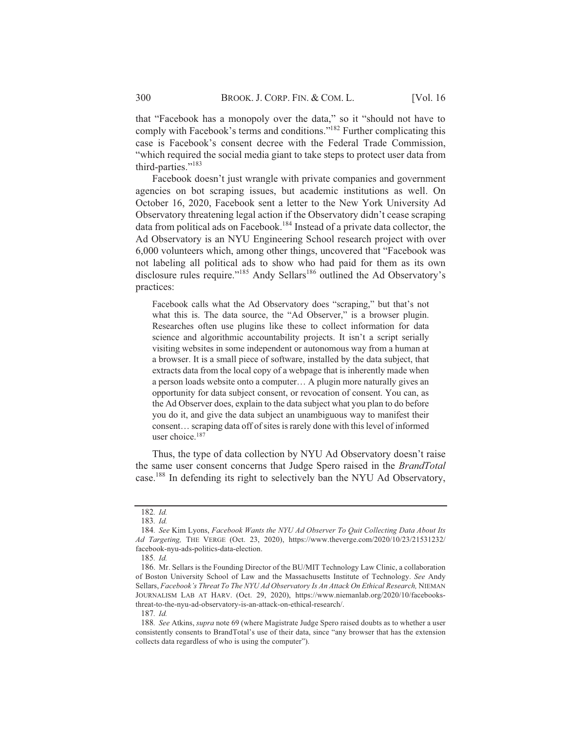that "Facebook has a monopoly over the data," so it "should not have to comply with Facebook's terms and conditions."<sup>182</sup> Further complicating this case is Facebook's consent decree with the Federal Trade Commission, "which required the social media giant to take steps to protect user data from third-parties."<sup>183</sup>

Facebook doesn't just wrangle with private companies and government agencies on bot scraping issues, but academic institutions as well. On October 16, 2020, Facebook sent a letter to the New York University Ad Observatory threatening legal action if the Observatory didn't cease scraping data from political ads on Facebook.<sup>184</sup> Instead of a private data collector, the Ad Observatory is an NYU Engineering School research project with over 6,000 volunteers which, among other things, uncovered that "Facebook was not labeling all political ads to show who had paid for them as its own disclosure rules require."<sup>185</sup> Andy Sellars<sup>186</sup> outlined the Ad Observatory's practices:

Facebook calls what the Ad Observatory does "scraping," but that's not what this is. The data source, the "Ad Observer," is a browser plugin. Researches often use plugins like these to collect information for data science and algorithmic accountability projects. It isn't a script serially visiting websites in some independent or autonomous way from a human at a browser. It is a small piece of software, installed by the data subject, that extracts data from the local copy of a webpage that is inherently made when a person loads website onto a computer... A plugin more naturally gives an opportunity for data subject consent, or revocation of consent. You can, as the Ad Observer does, explain to the data subject what you plan to do before you do it, and give the data subject an unambiguous way to manifest their consent... scraping data off of sites is rarely done with this level of informed user choice.<sup>187</sup>

Thus, the type of data collection by NYU Ad Observatory doesn't raise the same user consent concerns that Judge Spero raised in the BrandTotal case.<sup>188</sup> In defending its right to selectively ban the NYU Ad Observatory,

<sup>182.</sup> Id.

 $183.$  *Id.* 

<sup>184.</sup> See Kim Lyons, Facebook Wants the NYU Ad Observer To Quit Collecting Data About Its Ad Targeting, THE VERGE (Oct. 23, 2020), https://www.theverge.com/2020/10/23/21531232/ facebook-nyu-ads-politics-data-election.

<sup>185.</sup> Id.

<sup>186.</sup> Mr. Sellars is the Founding Director of the BU/MIT Technology Law Clinic, a collaboration of Boston University School of Law and the Massachusetts Institute of Technology. See Andy Sellars, Facebook's Threat To The NYU Ad Observatory Is An Attack On Ethical Research, NIEMAN JOURNALISM LAB AT HARV. (Oct. 29, 2020), https://www.niemanlab.org/2020/10/facebooksthreat-to-the-nyu-ad-observatory-is-an-attack-on-ethical-research/.

<sup>187.</sup> Id.

<sup>188.</sup> See Atkins, *supra* note 69 (where Magistrate Judge Spero raised doubts as to whether a user consistently consents to BrandTotal's use of their data, since "any browser that has the extension collects data regardless of who is using the computer").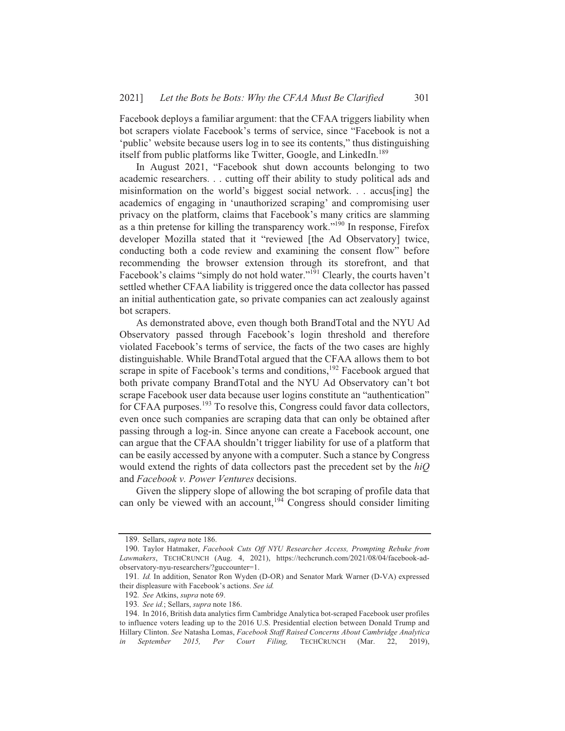Facebook deploys a familiar argument: that the CFAA triggers liability when bot scrapers violate Facebook's terms of service, since "Facebook is not a 'public' website because users log in to see its contents," thus distinguishing itself from public platforms like Twitter, Google, and LinkedIn.<sup>189</sup>

In August 2021, "Facebook shut down accounts belonging to two academic researchers... cutting off their ability to study political ads and misinformation on the world's biggest social network... accus[ing] the academics of engaging in 'unauthorized scraping' and compromising user privacy on the platform, claims that Facebook's many critics are slamming as a thin pretense for killing the transparency work."<sup>190</sup> In response, Firefox developer Mozilla stated that it "reviewed [the Ad Observatory] twice, conducting both a code review and examining the consent flow" before recommending the browser extension through its storefront, and that Facebook's claims "simply do not hold water."<sup>191</sup> Clearly, the courts haven't settled whether CFAA liability is triggered once the data collector has passed an initial authentication gate, so private companies can act zealously against bot scrapers.

As demonstrated above, even though both BrandTotal and the NYU Ad Observatory passed through Facebook's login threshold and therefore violated Facebook's terms of service, the facts of the two cases are highly distinguishable. While BrandTotal argued that the CFAA allows them to bot scrape in spite of Facebook's terms and conditions,<sup>192</sup> Facebook argued that both private company BrandTotal and the NYU Ad Observatory can't bot scrape Facebook user data because user logins constitute an "authentication" for CFAA purposes.<sup>193</sup> To resolve this, Congress could favor data collectors, even once such companies are scraping data that can only be obtained after passing through a log-in. Since anyone can create a Facebook account, one can argue that the CFAA shouldn't trigger liability for use of a platform that can be easily accessed by anyone with a computer. Such a stance by Congress would extend the rights of data collectors past the precedent set by the  $hiQ$ and Facebook v. Power Ventures decisions.

Given the slippery slope of allowing the bot scraping of profile data that can only be viewed with an account,  $194}$  Congress should consider limiting

<sup>189.</sup> Sellars, supra note 186.

<sup>190.</sup> Taylor Hatmaker, Facebook Cuts Off NYU Researcher Access, Prompting Rebuke from Lawmakers, TECHCRUNCH (Aug. 4, 2021), https://techcrunch.com/2021/08/04/facebook-adobservatory-nyu-researchers/?guccounter=1.

<sup>191.</sup> Id. In addition, Senator Ron Wyden (D-OR) and Senator Mark Warner (D-VA) expressed their displeasure with Facebook's actions. See id.

<sup>192.</sup> See Atkins, supra note 69.

<sup>193.</sup> See id.; Sellars, supra note 186.

<sup>194.</sup> In 2016, British data analytics firm Cambridge Analytica bot-scraped Facebook user profiles to influence voters leading up to the 2016 U.S. Presidential election between Donald Trump and Hillary Clinton. See Natasha Lomas, Facebook Staff Raised Concerns About Cambridge Analytica September 2015, Per Court Filing, TECHCRUNCH (Mar. 22, 2019), in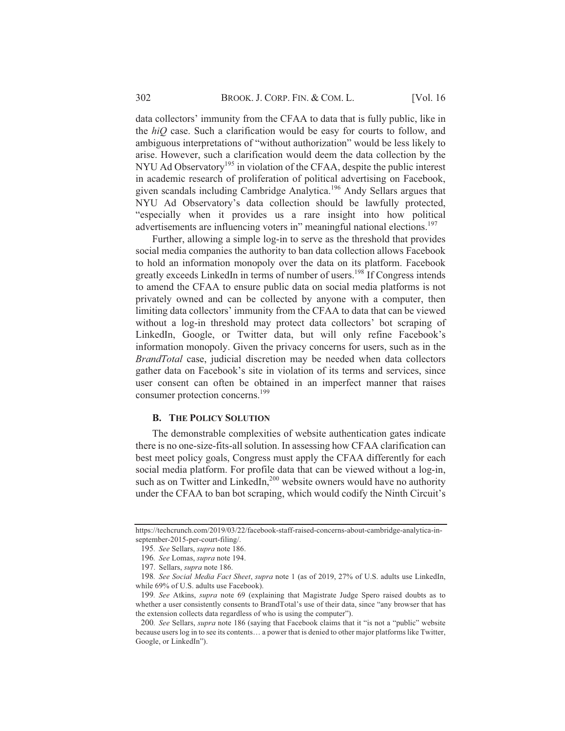data collectors' immunity from the CFAA to data that is fully public, like in the *hiQ* case. Such a clarification would be easy for courts to follow, and ambiguous interpretations of "without authorization" would be less likely to arise. However, such a clarification would deem the data collection by the NYU Ad Observatory<sup>195</sup> in violation of the CFAA, despite the public interest in academic research of proliferation of political advertising on Facebook, given scandals including Cambridge Analytica.<sup>196</sup> Andy Sellars argues that NYU Ad Observatory's data collection should be lawfully protected, "especially when it provides us a rare insight into how political advertisements are influencing voters in" meaningful national elections.<sup>197</sup>

Further, allowing a simple log-in to serve as the threshold that provides social media companies the authority to ban data collection allows Facebook to hold an information monopoly over the data on its platform. Facebook greatly exceeds LinkedIn in terms of number of users.<sup>198</sup> If Congress intends to amend the CFAA to ensure public data on social media platforms is not privately owned and can be collected by anyone with a computer, then limiting data collectors' immunity from the CFAA to data that can be viewed without a log-in threshold may protect data collectors' bot scraping of LinkedIn, Google, or Twitter data, but will only refine Facebook's information monopoly. Given the privacy concerns for users, such as in the BrandTotal case, judicial discretion may be needed when data collectors gather data on Facebook's site in violation of its terms and services, since user consent can often be obtained in an imperfect manner that raises consumer protection concerns.<sup>199</sup>

#### **B. THE POLICY SOLUTION**

The demonstrable complexities of website authentication gates indicate there is no one-size-fits-all solution. In assessing how CFAA clarification can best meet policy goals, Congress must apply the CFAA differently for each social media platform. For profile data that can be viewed without a log-in, such as on Twitter and LinkedIn,<sup>200</sup> website owners would have no authority under the CFAA to ban bot scraping, which would codify the Ninth Circuit's

https://techcrunch.com/2019/03/22/facebook-staff-raised-concerns-about-cambridge-analytica-inseptember-2015-per-court-filing/.

<sup>195.</sup> See Sellars, supra note 186.

<sup>196.</sup> See Lomas, supra note 194.

<sup>197.</sup> Sellars, supra note 186.

<sup>198.</sup> See Social Media Fact Sheet, supra note 1 (as of 2019, 27% of U.S. adults use LinkedIn, while 69% of U.S. adults use Facebook).

<sup>199.</sup> See Atkins, *supra* note 69 (explaining that Magistrate Judge Spero raised doubts as to whether a user consistently consents to BrandTotal's use of their data, since "any browser that has the extension collects data regardless of who is using the computer").

<sup>200.</sup> See Sellars, *supra* note 186 (saying that Facebook claims that it "is not a "public" website because users log in to see its contents... a power that is denied to other major platforms like Twitter, Google, or LinkedIn").